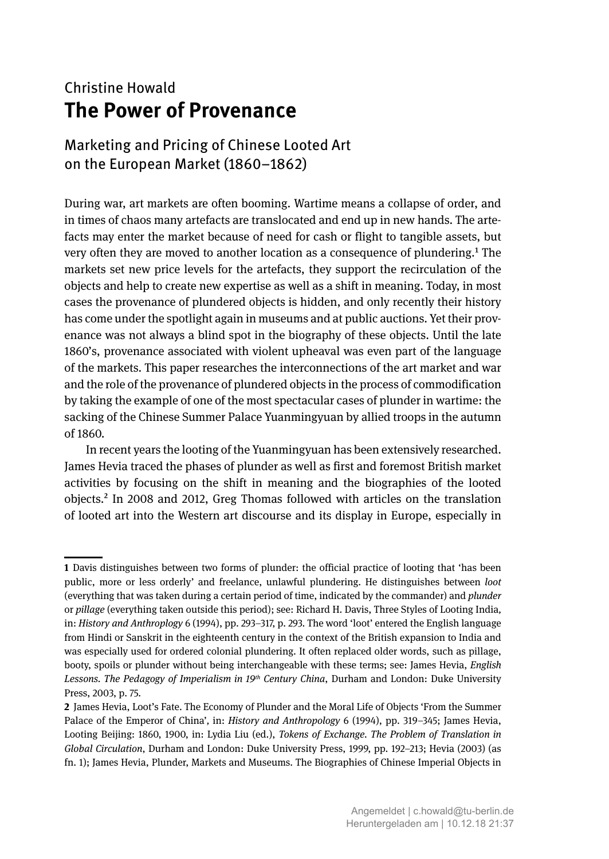# Christine Howald **The Power of Provenance**

Marketing and Pricing of Chinese Looted Art on the European Market (1860–1862)

During war, art markets are often booming. Wartime means a collapse of order, and in times of chaos many artefacts are translocated and end up in new hands. The artefacts may enter the market because of need for cash or flight to tangible assets, but very often they are moved to another location as a consequence of plundering.<sup>1</sup> The markets set new price levels for the artefacts, they support the recirculation of the objects and help to create new expertise as well as a shift in meaning. Today, in most cases the provenance of plundered objects is hidden, and only recently their history has come under the spotlight again in museums and at public auctions. Yet their provenance was not always a blind spot in the biography of these objects. Until the late 1860's, provenance associated with violent upheaval was even part of the language of the markets. This paper researches the interconnections of the art market and war and the role of the provenance of plundered objects in the process of commodification by taking the example of one of the most spectacular cases of plunder in wartime: the sacking of the Chinese Summer Palace Yuanmingyuan by allied troops in the autumn of 1860.

In recent years the looting of the Yuanmingyuan has been extensively researched. James Hevia traced the phases of plunder as well as first and foremost British market activities by focusing on the shift in meaning and the biographies of the looted objects.2 In 2008 and 2012, Greg Thomas followed with articles on the translation of looted art into the Western art discourse and its display in Europe, especially in

**<sup>1</sup>** Davis distinguishes between two forms of plunder: the official practice of looting that 'has been public, more or less orderly' and freelance, unlawful plundering. He distinguishes between *loot*  (everything that was taken during a certain period of time, indicated by the commander) and *plunder*  or *pillage* (everything taken outside this period); see: Richard H. Davis, Three Styles of Looting India*,*  in: *History and Anthroplogy* 6 (1994), pp. 293–317, p. 293. The word 'loot' entered the English language from Hindi or Sanskrit in the eighteenth century in the context of the British expansion to India and was especially used for ordered colonial plundering. It often replaced older words, such as pillage, booty, spoils or plunder without being interchangeable with these terms; see: James Hevia, *English*  Lessons. The Pedagogy of Imperialism in 19<sup>th</sup> Century China, Durham and London: Duke University Press, 2003, p. 75.

**<sup>2</sup>** James Hevia, Loot's Fate. The Economy of Plunder and the Moral Life of Objects 'From the Summer Palace of the Emperor of China'*,* in: *History and Anthropology* 6 (1994), pp. 319–345; James Hevia, Looting Beijing: 1860, 1900, in: Lydia Liu (ed.), *Tokens of Exchange. The Problem of Translation in Global Circulation*, Durham and London: Duke University Press, 1999, pp. 192–213; Hevia (2003) (as fn. 1); James Hevia, Plunder, Markets and Museums. The Biographies of Chinese Imperial Objects in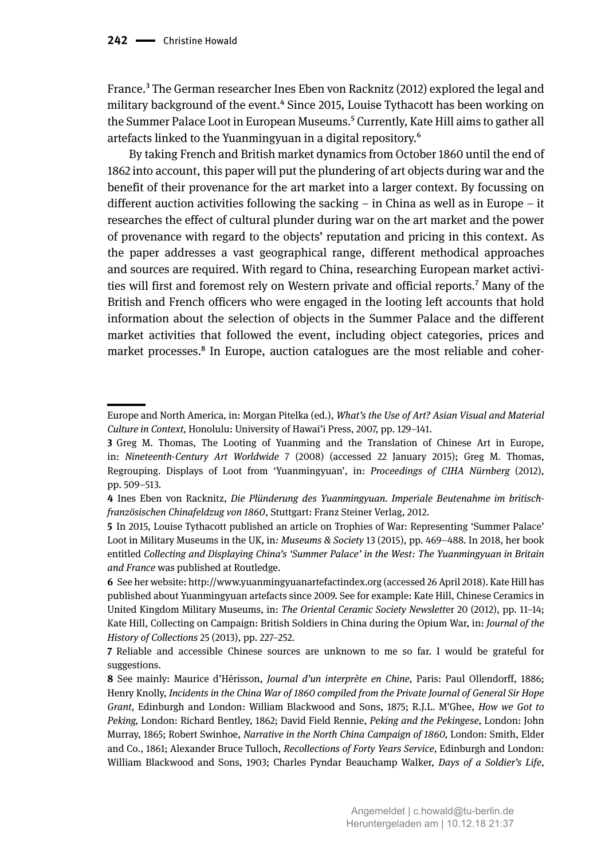France.3 The German researcher Ines Eben von Racknitz (2012) explored the legal and military background of the event.<sup>4</sup> Since 2015, Louise Tythacott has been working on the Summer Palace Loot in European Museums.<sup>5</sup> Currently, Kate Hill aims to gather all artefacts linked to the Yuanmingyuan in a digital repository.<sup>6</sup>

By taking French and British market dynamics from October 1860 until the end of 1862 into account, this paper will put the plundering of art objects during war and the benefit of their provenance for the art market into a larger context. By focussing on different auction activities following the sacking  $-$  in China as well as in Europe  $-$  it researches the effect of cultural plunder during war on the art market and the power of provenance with regard to the objects' reputation and pricing in this context. As the paper addresses a vast geographical range, different methodical approaches and sources are required. With regard to China, researching European market activities will first and foremost rely on Western private and official reports.7 Many of the British and French officers who were engaged in the looting left accounts that hold information about the selection of objects in the Summer Palace and the different market activities that followed the event, including object categories, prices and market processes.<sup>8</sup> In Europe, auction catalogues are the most reliable and coher-

Europe and North America*,* in: Morgan Pitelka (ed.), *What's the Use of Art? Asian Visual and Material Culture in Context,* Honolulu: University of Hawai'i Press, 2007, pp. 129–141.

**<sup>3</sup>** Greg M. Thomas, The Looting of Yuanming and the Translation of Chinese Art in Europe, in: *Nineteenth-Century Art Worldwide* 7 (2008) (accessed 22 January 2015); Greg M. Thomas, Regrouping. Displays of Loot from 'Yuanmingyuan', in: *Proceedings of CIHA Nürnberg* (2012), pp. 509–513.

**<sup>4</sup>** Ines Eben von Racknitz, *Die Plünderung des Yuanmingyuan. Imperiale Beutenahme im britischfranzösischen Chinafeldzug von 1860*, Stuttgart: Franz Steiner Verlag, 2012.

**<sup>5</sup>** In 2015, Louise Tythacott published an article on Trophies of War: Representing 'Summer Palace' Loot in Military Museums in the UK*,* in*: Museums & Society* 13 (2015), pp. 469–488*.* In 2018, her book entitled *Collecting and Displaying China's 'Summer Palace' in the West: The Yuanmingyuan in Britain and France* was published at Routledge.

**<sup>6</sup>** See her website: http://www.yuanmingyuanartefactindex.org (accessed 26 April 2018). Kate Hill has published about Yuanmingyuan artefacts since 2009. See for example: Kate Hill, Chinese Ceramics in United Kingdom Military Museums, in: *The Oriental Ceramic Society Newslett*er 20 (2012), pp. 11–14; Kate Hill, Collecting on Campaign: British Soldiers in China during the Opium War, in: *Journal of the History of Collections* 25 (2013), pp. 227–252.

**<sup>7</sup>** Reliable and accessible Chinese sources are unknown to me so far. I would be grateful for suggestions.

**<sup>8</sup>** See mainly: Maurice d'Hérisson, *Journal d'un interprète en Chine,* Paris: Paul Ollendorff, 1886; Henry Knolly, *Incidents in the China War of 1860 compiled from the Private Journal of General Sir Hope Grant,* Edinburgh and London: William Blackwood and Sons, 1875; R.J.L. M'Ghee, *How we Got to Peking,* London: Richard Bentley, 1862; David Field Rennie, *Peking and the Pekingese,* London: John Murray, 1865; Robert Swinhoe, *Narrative in the North China Campaign of 1860,* London: Smith, Elder and Co., 1861; Alexander Bruce Tulloch, *Recollections of Forty Years Service,* Edinburgh and London: William Blackwood and Sons, 1903; Charles Pyndar Beauchamp Walker, *Days of a Soldier's Life,*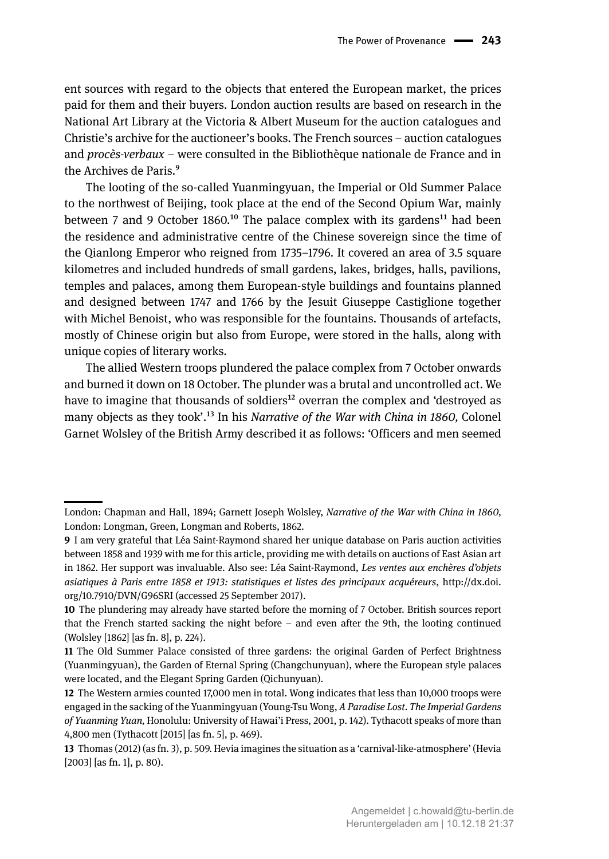ent sources with regard to the objects that entered the European market, the prices paid for them and their buyers. London auction results are based on research in the National Art Library at the Victoria & Albert Museum for the auction catalogues and Christie's archive for the auctioneer's books. The French sources – auction catalogues and *procès-verbaux –* were consulted in the Bibliothèque nationale de France and in the Archives de Paris.<sup>9</sup>

The looting of the so-called Yuanmingyuan, the Imperial or Old Summer Palace to the northwest of Beijing, took place at the end of the Second Opium War, mainly between 7 and 9 October 1860.<sup>10</sup> The palace complex with its gardens<sup>11</sup> had been the residence and administrative centre of the Chinese sovereign since the time of the Qianlong Emperor who reigned from 1735–1796. It covered an area of 3.5 square kilometres and included hundreds of small gardens, lakes, bridges, halls, pavilions, temples and palaces, among them European-style buildings and fountains planned and designed between 1747 and 1766 by the Jesuit Giuseppe Castiglione together with Michel Benoist, who was responsible for the fountains. Thousands of artefacts, mostly of Chinese origin but also from Europe, were stored in the halls, along with unique copies of literary works.

The allied Western troops plundered the palace complex from 7 October onwards and burned it down on 18 October. The plunder was a brutal and uncontrolled act. We have to imagine that thousands of soldiers<sup>12</sup> overran the complex and 'destroyed as many objects as they took'.13 In his *Narrative of the War with China in 1860,* Colonel Garnet Wolsley of the British Army described it as follows: 'Officers and men seemed

London: Chapman and Hall, 1894; Garnett Joseph Wolsley, *Narrative of the War with China in 1860,*  London: Longman, Green, Longman and Roberts, 1862.

**<sup>9</sup>** I am very grateful that Léa Saint-Raymond shared her unique database on Paris auction activities between 1858 and 1939 with me for this article, providing me with details on auctions of East Asian art in 1862. Her support was invaluable. Also see: Léa Saint-Raymond, *Les ventes aux enchères d'objets asiatiques à Paris entre 1858 et 1913: statistiques et listes des principaux acquéreurs*, http://dx.doi. org/10.7910/DVN/G96SRI (accessed 25 September 2017).

**<sup>10</sup>** The plundering may already have started before the morning of 7 October. British sources report that the French started sacking the night before – and even after the 9th, the looting continued (Wolsley [1862] [as fn. 8], p. 224).

**<sup>11</sup>** The Old Summer Palace consisted of three gardens: the original Garden of Perfect Brightness (Yuanmingyuan), the Garden of Eternal Spring (Changchunyuan), where the European style palaces were located, and the Elegant Spring Garden (Qichunyuan).

**<sup>12</sup>** The Western armies counted 17,000 men in total. Wong indicates that less than 10,000 troops were engaged in the sacking of the Yuanmingyuan (Young-Tsu Wong, *A Paradise Lost. The Imperial Gardens of Yuanming Yuan,* Honolulu: University of Hawai'i Press, 2001, p. 142). Tythacott speaks of more than 4,800 men (Tythacott [2015] [as fn. 5], p. 469).

**<sup>13</sup>** Thomas (2012) (as fn. 3), p. 509. Hevia imagines the situation as a 'carnival-like-atmosphere' (Hevia [2003] [as fn. 1], p. 80).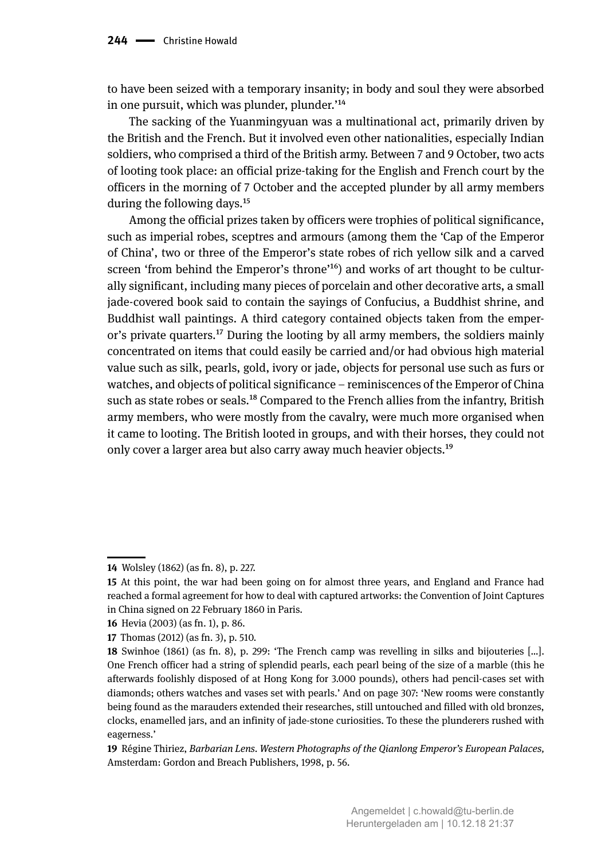to have been seized with a temporary insanity; in body and soul they were absorbed in one pursuit, which was plunder, plunder.'14

The sacking of the Yuanmingyuan was a multinational act, primarily driven by the British and the French. But it involved even other nationalities, especially Indian soldiers, who comprised a third of the British army. Between 7 and 9 October, two acts of looting took place: an official prize-taking for the English and French court by the officers in the morning of 7 October and the accepted plunder by all army members during the following days.15

Among the official prizes taken by officers were trophies of political significance, such as imperial robes, sceptres and armours (among them the 'Cap of the Emperor of China', two or three of the Emperor's state robes of rich yellow silk and a carved screen 'from behind the Emperor's throne<sup>'16</sup>) and works of art thought to be culturally significant, including many pieces of porcelain and other decorative arts, a small jade-covered book said to contain the sayings of Confucius, a Buddhist shrine, and Buddhist wall paintings. A third category contained objects taken from the emperor's private quarters.<sup>17</sup> During the looting by all army members, the soldiers mainly concentrated on items that could easily be carried and/or had obvious high material value such as silk, pearls, gold, ivory or jade, objects for personal use such as furs or watches, and objects of political significance – reminiscences of the Emperor of China such as state robes or seals.<sup>18</sup> Compared to the French allies from the infantry, British army members, who were mostly from the cavalry, were much more organised when it came to looting. The British looted in groups, and with their horses, they could not only cover a larger area but also carry away much heavier objects.<sup>19</sup>

**16** Hevia (2003) (as fn. 1), p. 86.

**<sup>14</sup>** Wolsley (1862) (as fn. 8), p. 227.

**<sup>15</sup>** At this point, the war had been going on for almost three years, and England and France had reached a formal agreement for how to deal with captured artworks: the Convention of Joint Captures in China signed on 22 February 1860 in Paris.

**<sup>17</sup>** Thomas (2012) (as fn. 3), p. 510.

**<sup>18</sup>** Swinhoe (1861) (as fn. 8), p. 299: 'The French camp was revelling in silks and bijouteries […]. One French officer had a string of splendid pearls, each pearl being of the size of a marble (this he afterwards foolishly disposed of at Hong Kong for 3.000 pounds), others had pencil-cases set with diamonds; others watches and vases set with pearls.' And on page 307: 'New rooms were constantly being found as the marauders extended their researches, still untouched and filled with old bronzes, clocks, enamelled jars, and an infinity of jade-stone curiosities. To these the plunderers rushed with eagerness.'

**<sup>19</sup>** Régine Thiriez, *Barbarian Lens. Western Photographs of the Qianlong Emperor's European Palaces,*  Amsterdam: Gordon and Breach Publishers, 1998, p. 56.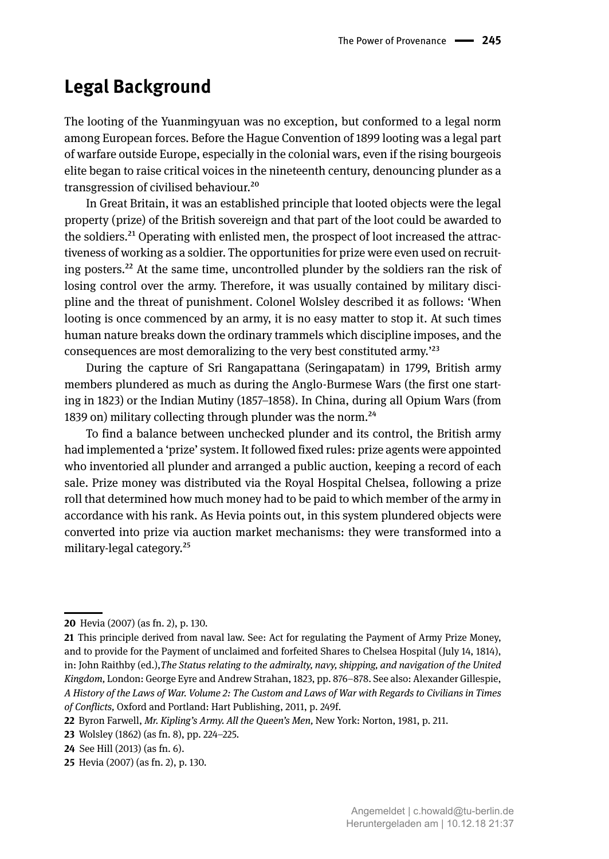# **Legal Background**

The looting of the Yuanmingyuan was no exception, but conformed to a legal norm among European forces. Before the Hague Convention of 1899 looting was a legal part of warfare outside Europe, especially in the colonial wars, even if the rising bourgeois elite began to raise critical voices in the nineteenth century, denouncing plunder as a transgression of civilised behaviour.<sup>20</sup>

In Great Britain, it was an established principle that looted objects were the legal property (prize) of the British sovereign and that part of the loot could be awarded to the soldiers.<sup>21</sup> Operating with enlisted men, the prospect of loot increased the attractiveness of working as a soldier. The opportunities for prize were even used on recruiting posters.<sup>22</sup> At the same time, uncontrolled plunder by the soldiers ran the risk of losing control over the army. Therefore, it was usually contained by military discipline and the threat of punishment. Colonel Wolsley described it as follows: 'When looting is once commenced by an army, it is no easy matter to stop it. At such times human nature breaks down the ordinary trammels which discipline imposes, and the consequences are most demoralizing to the very best constituted army.'23

During the capture of Sri Rangapattana (Seringapatam) in 1799, British army members plundered as much as during the Anglo-Burmese Wars (the first one starting in 1823) or the Indian Mutiny (1857–1858). In China, during all Opium Wars (from 1839 on) military collecting through plunder was the norm.<sup>24</sup>

To find a balance between unchecked plunder and its control, the British army had implemented a 'prize' system. It followed fixed rules: prize agents were appointed who inventoried all plunder and arranged a public auction, keeping a record of each sale. Prize money was distributed via the Royal Hospital Chelsea, following a prize roll that determined how much money had to be paid to which member of the army in accordance with his rank. As Hevia points out, in this system plundered objects were converted into prize via auction market mechanisms: they were transformed into a military-legal category.<sup>25</sup>

**<sup>20</sup>** Hevia (2007) (as fn. 2), p. 130.

**<sup>21</sup>** This principle derived from naval law. See: Act for regulating the Payment of Army Prize Money, and to provide for the Payment of unclaimed and forfeited Shares to Chelsea Hospital (July 14, 1814), in: John Raithby (ed.),*The Status relating to the admiralty, navy, shipping, and navigation of the United Kingdom,* London: George Eyre and Andrew Strahan, 1823, pp. 876–878. See also: Alexander Gillespie, *A History of the Laws of War. Volume 2: The Custom and Laws of War with Regards to Civilians in Times of Conflicts,* Oxford and Portland: Hart Publishing, 2011, p. 249f.

**<sup>22</sup>** Byron Farwell, *Mr. Kipling's Army. All the Queen's Men,* New York: Norton, 1981, p. 211.

**<sup>23</sup>** Wolsley (1862) (as fn. 8), pp. 224–225.

**<sup>24</sup>** See Hill (2013) (as fn. 6).

**<sup>25</sup>** Hevia (2007) (as fn. 2), p. 130.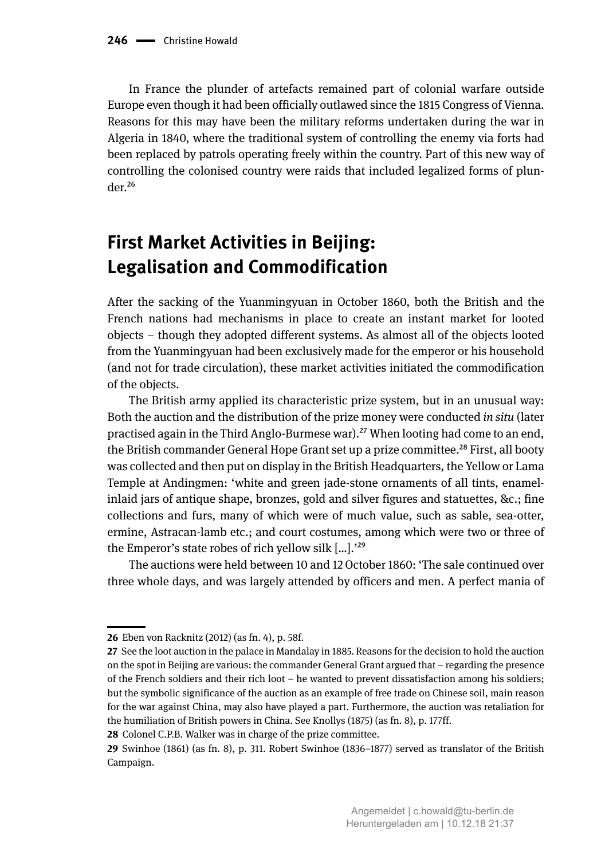In France the plunder of artefacts remained part of colonial warfare outside Europe even though it had been officially outlawed since the 1815 Congress of Vienna. Reasons for this may have been the military reforms undertaken during the war in Algeria in 1840, where the traditional system of controlling the enemy via forts had been replaced by patrols operating freely within the country. Part of this new way of controlling the colonised country were raids that included legalized forms of plunder.26

# **First Market Activities in Beijing: Legalisation and Commodification**

After the sacking of the Yuanmingyuan in October 1860, both the British and the French nations had mechanisms in place to create an instant market for looted objects – though they adopted different systems. As almost all of the objects looted from the Yuanmingyuan had been exclusively made for the emperor or his household (and not for trade circulation), these market activities initiated the commodification of the objects.

The British army applied its characteristic prize system, but in an unusual way: Both the auction and the distribution of the prize money were conducted *in situ* (later practised again in the Third Anglo-Burmese war).<sup>27</sup> When looting had come to an end, the British commander General Hope Grant set up a prize committee.<sup>28</sup> First, all booty was collected and then put on display in the British Headquarters, the Yellow or Lama Temple at Andingmen: 'white and green jade-stone ornaments of all tints, enamelinlaid jars of antique shape, bronzes, gold and silver figures and statuettes, &c.; fine collections and furs, many of which were of much value, such as sable, sea-otter, ermine, Astracan-lamb etc.; and court costumes, among which were two or three of the Emperor's state robes of rich yellow silk […].'29

The auctions were held between 10 and 12 October 1860: 'The sale continued over three whole days, and was largely attended by officers and men. A perfect mania of

**<sup>26</sup>** Eben von Racknitz (2012) (as fn. 4), p. 58f.

**<sup>27</sup>** See the loot auction in the palace in Mandalay in 1885. Reasons for the decision to hold the auction on the spot in Beijing are various: the commander General Grant argued that – regarding the presence of the French soldiers and their rich loot – he wanted to prevent dissatisfaction among his soldiers; but the symbolic significance of the auction as an example of free trade on Chinese soil, main reason for the war against China, may also have played a part. Furthermore, the auction was retaliation for the humiliation of British powers in China. See Knollys (1875) (as fn. 8), p. 177ff.

**<sup>28</sup>** Colonel C.P.B. Walker was in charge of the prize committee.

**<sup>29</sup>** Swinhoe (1861) (as fn. 8), p. 311. Robert Swinhoe (1836–1877) served as translator of the British Campaign.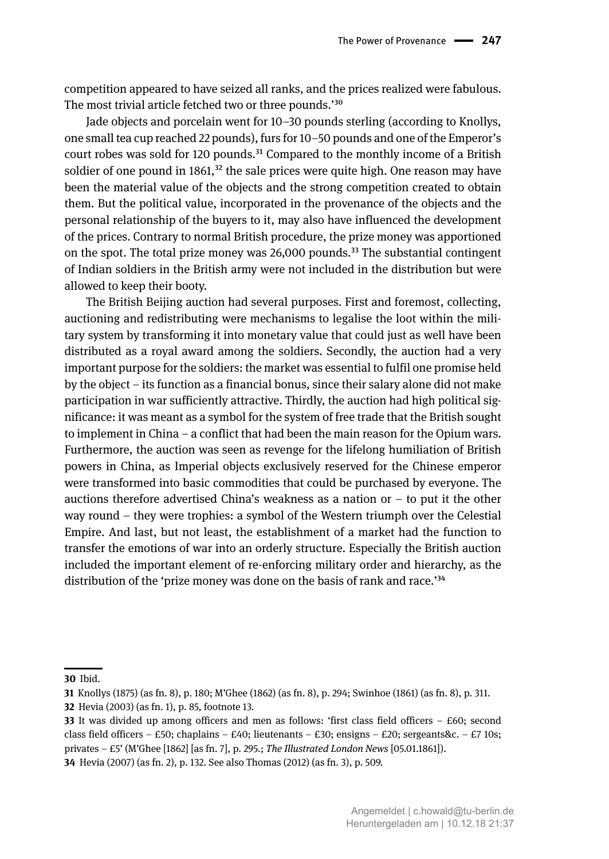competition appeared to have seized all ranks, and the prices realized were fabulous. The most trivial article fetched two or three pounds.'30

Jade objects and porcelain went for 10–30 pounds sterling (according to Knollys, one small tea cup reached 22 pounds), furs for 10–50 pounds and one of the Emperor's court robes was sold for 120 pounds.<sup>31</sup> Compared to the monthly income of a British soldier of one pound in  $1861$ ,<sup>32</sup> the sale prices were quite high. One reason may have been the material value of the objects and the strong competition created to obtain them. But the political value, incorporated in the provenance of the objects and the personal relationship of the buyers to it, may also have influenced the development of the prices. Contrary to normal British procedure, the prize money was apportioned on the spot. The total prize money was 26,000 pounds.<sup>33</sup> The substantial contingent of Indian soldiers in the British army were not included in the distribution but were allowed to keep their booty.

The British Beijing auction had several purposes. First and foremost, collecting, auctioning and redistributing were mechanisms to legalise the loot within the military system by transforming it into monetary value that could just as well have been distributed as a royal award among the soldiers. Secondly, the auction had a very important purpose for the soldiers: the market was essential to fulfil one promise held by the object – its function as a financial bonus, since their salary alone did not make participation in war sufficiently attractive. Thirdly, the auction had high political significance: it was meant as a symbol for the system of free trade that the British sought to implement in China – a conflict that had been the main reason for the Opium wars. Furthermore, the auction was seen as revenge for the lifelong humiliation of British powers in China, as Imperial objects exclusively reserved for the Chinese emperor were transformed into basic commodities that could be purchased by everyone. The auctions therefore advertised China's weakness as a nation or – to put it the other way round – they were trophies: a symbol of the Western triumph over the Celestial Empire. And last, but not least, the establishment of a market had the function to transfer the emotions of war into an orderly structure. Especially the British auction included the important element of re-enforcing military order and hierarchy, as the distribution of the 'prize money was done on the basis of rank and race.<sup>34</sup>

**30** Ibid.

**<sup>31</sup>** Knollys (1875) (as fn. 8), p. 180; M'Ghee (1862) (as fn. 8), p. 294; Swinhoe (1861) (as fn. 8), p. 311. **32** Hevia (2003) (as fn. 1), p. 85, footnote 13.

**<sup>33</sup>** It was divided up among officers and men as follows: 'first class field officers – £60; second class field officers – £50; chaplains –  $E40$ ; lieutenants –  $E30$ ; ensigns –  $E20$ ; sergeants&c. –  $E710s$ ; privates – £5' (M'Ghee [1862] [as fn. 7], p. 295.; *The Illustrated London News* [05.01.1861]). **34** Hevia (2007) (as fn. 2), p. 132. See also Thomas (2012) (as fn. 3), p. 509.

Angemeldet | c.howald@tu-berlin.de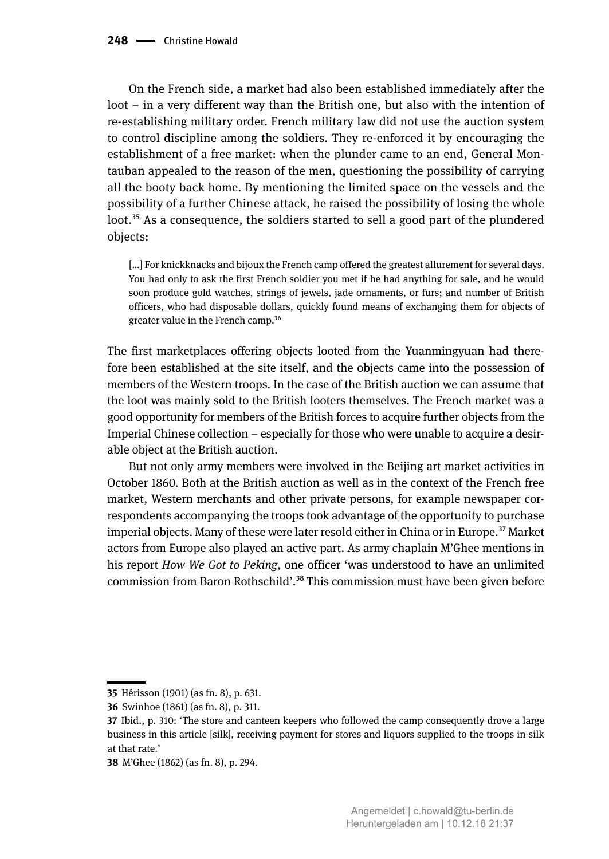On the French side, a market had also been established immediately after the loot – in a very different way than the British one, but also with the intention of re-establishing military order. French military law did not use the auction system to control discipline among the soldiers. They re-enforced it by encouraging the establishment of a free market: when the plunder came to an end, General Montauban appealed to the reason of the men, questioning the possibility of carrying all the booty back home. By mentioning the limited space on the vessels and the possibility of a further Chinese attack, he raised the possibility of losing the whole loot.<sup>35</sup> As a consequence, the soldiers started to sell a good part of the plundered objects:

[...] For knickknacks and bijoux the French camp offered the greatest allurement for several days. You had only to ask the first French soldier you met if he had anything for sale, and he would soon produce gold watches, strings of jewels, jade ornaments, or furs; and number of British officers, who had disposable dollars, quickly found means of exchanging them for objects of greater value in the French camp.36

The first marketplaces offering objects looted from the Yuanmingyuan had therefore been established at the site itself, and the objects came into the possession of members of the Western troops. In the case of the British auction we can assume that the loot was mainly sold to the British looters themselves. The French market was a good opportunity for members of the British forces to acquire further objects from the Imperial Chinese collection – especially for those who were unable to acquire a desirable object at the British auction.

But not only army members were involved in the Beijing art market activities in October 1860. Both at the British auction as well as in the context of the French free market, Western merchants and other private persons, for example newspaper correspondents accompanying the troops took advantage of the opportunity to purchase imperial objects. Many of these were later resold either in China or in Europe.<sup>37</sup> Market actors from Europe also played an active part. As army chaplain M'Ghee mentions in his report *How We Got to Peking*, one officer 'was understood to have an unlimited commission from Baron Rothschild'.<sup>38</sup> This commission must have been given before

**<sup>35</sup>** Hérisson (1901) (as fn. 8), p. 631.

**<sup>36</sup>** Swinhoe (1861) (as fn. 8), p. 311.

**<sup>37</sup>** Ibid., p. 310: 'The store and canteen keepers who followed the camp consequently drove a large business in this article [silk], receiving payment for stores and liquors supplied to the troops in silk at that rate.'

**<sup>38</sup>** M'Ghee (1862) (as fn. 8), p. 294.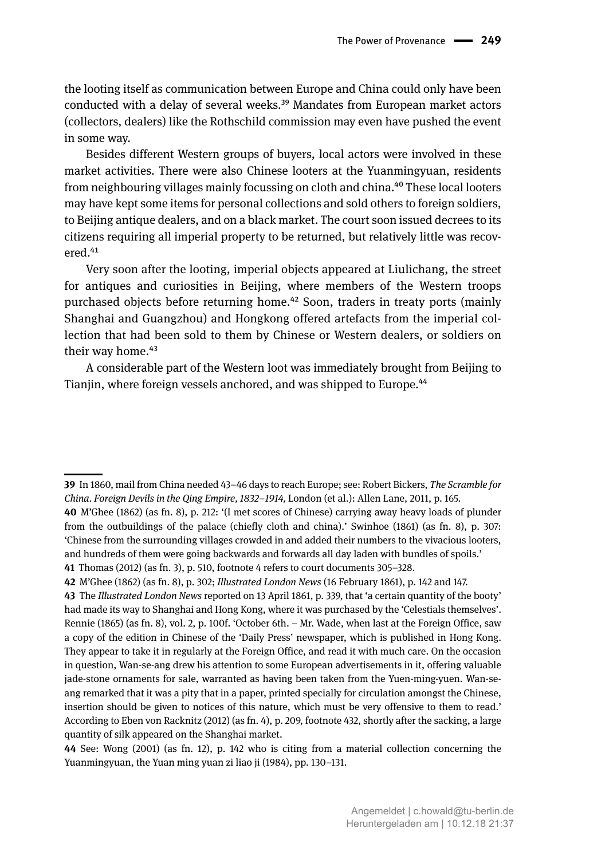the looting itself as communication between Europe and China could only have been conducted with a delay of several weeks.<sup>39</sup> Mandates from European market actors (collectors, dealers) like the Rothschild commission may even have pushed the event in some way.

Besides different Western groups of buyers, local actors were involved in these market activities. There were also Chinese looters at the Yuanmingyuan, residents from neighbouring villages mainly focussing on cloth and china.40 These local looters may have kept some items for personal collections and sold others to foreign soldiers, to Beijing antique dealers, and on a black market. The court soon issued decrees to its citizens requiring all imperial property to be returned, but relatively little was recovered.<sup>41</sup>

Very soon after the looting, imperial objects appeared at Liulichang, the street for antiques and curiosities in Beijing, where members of the Western troops purchased objects before returning home.<sup>42</sup> Soon, traders in treaty ports (mainly Shanghai and Guangzhou) and Hongkong offered artefacts from the imperial collection that had been sold to them by Chinese or Western dealers, or soldiers on their way home.<sup>43</sup>

A considerable part of the Western loot was immediately brought from Beijing to Tianjin, where foreign vessels anchored, and was shipped to Europe.<sup>44</sup>

**<sup>39</sup>** In 1860, mail from China needed 43–46 days to reach Europe; see: Robert Bickers, *The Scramble for China. Foreign Devils in the Qing Empire, 1832–1914,* London (et al.): Allen Lane, 2011, p. 165.

**<sup>40</sup>** M'Ghee (1862) (as fn. 8), p. 212: '(I met scores of Chinese) carrying away heavy loads of plunder from the outbuildings of the palace (chiefly cloth and china).' Swinhoe (1861) (as fn. 8), p. 307: 'Chinese from the surrounding villages crowded in and added their numbers to the vivacious looters, and hundreds of them were going backwards and forwards all day laden with bundles of spoils.' **41** Thomas (2012) (as fn. 3), p. 510, footnote 4 refers to court documents 305–328.

**<sup>42</sup>** M'Ghee (1862) (as fn. 8), p. 302; *Illustrated London News* (16 February 1861), p. 142 and 147.

**<sup>43</sup>** The *Illustrated London News* reported on 13 April 1861, p. 339, that 'a certain quantity of the booty' had made its way to Shanghai and Hong Kong, where it was purchased by the 'Celestials themselves'. Rennie (1865) (as fn. 8), vol. 2, p. 100f. 'October 6th. – Mr. Wade, when last at the Foreign Office, saw a copy of the edition in Chinese of the 'Daily Press' newspaper, which is published in Hong Kong. They appear to take it in regularly at the Foreign Office, and read it with much care. On the occasion in question, Wan-se-ang drew his attention to some European advertisements in it, offering valuable jade-stone ornaments for sale, warranted as having been taken from the Yuen-ming-yuen. Wan-seang remarked that it was a pity that in a paper, printed specially for circulation amongst the Chinese, insertion should be given to notices of this nature, which must be very offensive to them to read.' According to Eben von Racknitz (2012) (as fn. 4), p. 209, footnote 432, shortly after the sacking, a large quantity of silk appeared on the Shanghai market.

**<sup>44</sup>** See: Wong (2001) (as fn. 12), p. 142 who is citing from a material collection concerning the Yuanmingyuan, the Yuan ming yuan zi liao ji (1984), pp. 130–131.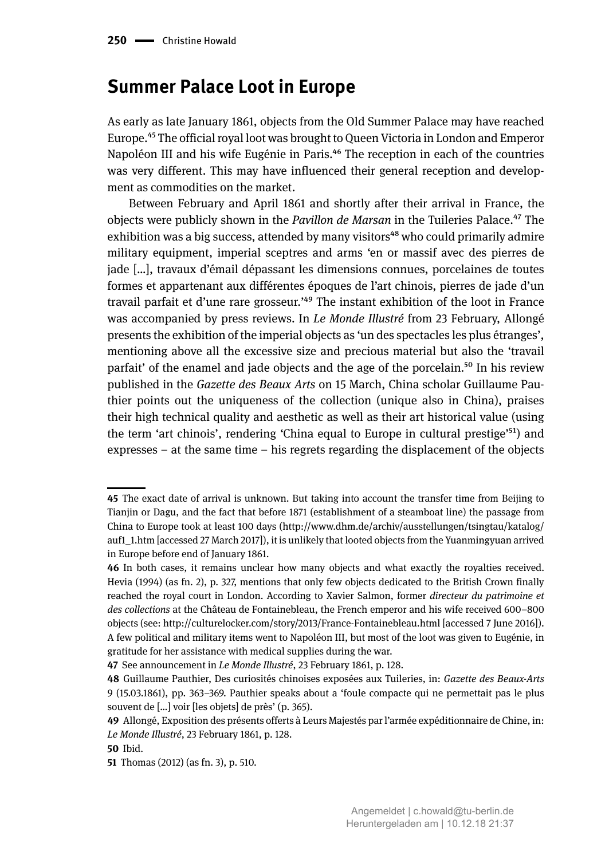## **Summer Palace Loot in Europe**

As early as late January 1861, objects from the Old Summer Palace may have reached Europe.45 The official royal loot was brought to Queen Victoria in London and Emperor Napoléon III and his wife Eugénie in Paris.<sup>46</sup> The reception in each of the countries was very different. This may have influenced their general reception and development as commodities on the market.

Between February and April 1861 and shortly after their arrival in France, the objects were publicly shown in the *Pavillon de Marsan* in the Tuileries Palace.47 The exhibition was a big success, attended by many visitors<sup>48</sup> who could primarily admire military equipment, imperial sceptres and arms 'en or massif avec des pierres de jade […], travaux d'émail dépassant les dimensions connues, porcelaines de toutes formes et appartenant aux différentes époques de l'art chinois, pierres de jade d'un travail parfait et d'une rare grosseur.'49 The instant exhibition of the loot in France was accompanied by press reviews. In *Le Monde Illustré* from 23 February, Allongé presents the exhibition of the imperial objects as 'un des spectacles les plus étranges', mentioning above all the excessive size and precious material but also the 'travail parfait' of the enamel and jade objects and the age of the porcelain.50 In his review published in the *Gazette des Beaux Arts* on 15 March, China scholar Guillaume Pauthier points out the uniqueness of the collection (unique also in China), praises their high technical quality and aesthetic as well as their art historical value (using the term 'art chinois', rendering 'China equal to Europe in cultural prestige'51) and expresses – at the same time – his regrets regarding the displacement of the objects

**<sup>45</sup>** The exact date of arrival is unknown. But taking into account the transfer time from Beijing to Tianjin or Dagu, and the fact that before 1871 (establishment of a steamboat line) the passage from China to Europe took at least 100 days (http://www.dhm.de/archiv/ausstellungen/tsingtau/katalog/ auf1\_1.htm [accessed 27 March 2017]), it is unlikely that looted objects from the Yuanmingyuan arrived in Europe before end of January 1861.

**<sup>46</sup>** In both cases, it remains unclear how many objects and what exactly the royalties received. Hevia (1994) (as fn. 2), p. 327, mentions that only few objects dedicated to the British Crown finally reached the royal court in London. According to Xavier Salmon, former *directeur du patrimoine et des collections* at the Château de Fontainebleau, the French emperor and his wife received 600–800 objects (see: http://culturelocker.com/story/2013/France-Fontainebleau.html [accessed 7 June 2016]). A few political and military items went to Napoléon III, but most of the loot was given to Eugénie, in gratitude for her assistance with medical supplies during the war.

**<sup>47</sup>** See announcement in *Le Monde Illustré*, 23 February 1861, p. 128.

**<sup>48</sup>** Guillaume Pauthier, Des curiosités chinoises exposées aux Tuileries, in: *Gazette des Beaux-Arts* 9 (15.03.1861), pp. 363–369. Pauthier speaks about a 'foule compacte qui ne permettait pas le plus souvent de […] voir [les objets] de près' (p. 365).

**<sup>49</sup>** Allongé, Exposition des présents offerts à Leurs Majestés par l'armée expéditionnaire de Chine, in: *Le Monde Illustré*, 23 February 1861, p. 128.

**<sup>50</sup>** Ibid.

**<sup>51</sup>** Thomas (2012) (as fn. 3), p. 510.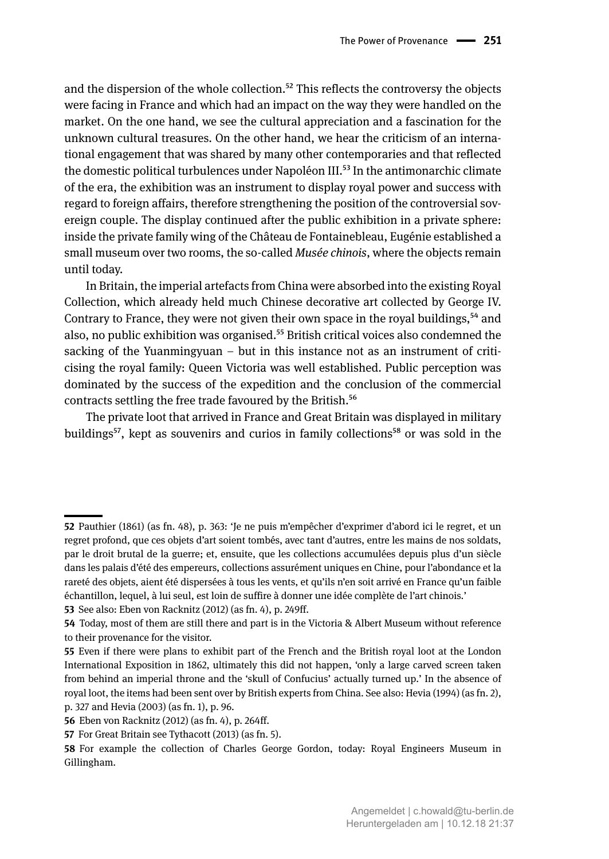and the dispersion of the whole collection.<sup>52</sup> This reflects the controversy the objects were facing in France and which had an impact on the way they were handled on the market. On the one hand, we see the cultural appreciation and a fascination for the unknown cultural treasures. On the other hand, we hear the criticism of an international engagement that was shared by many other contemporaries and that reflected the domestic political turbulences under Napoléon III.<sup>53</sup> In the antimonarchic climate of the era, the exhibition was an instrument to display royal power and success with regard to foreign affairs, therefore strengthening the position of the controversial sovereign couple. The display continued after the public exhibition in a private sphere: inside the private family wing of the Château de Fontainebleau, Eugénie established a small museum over two rooms, the so-called *Musée chinois*, where the objects remain until today.

In Britain, the imperial artefacts from China were absorbed into the existing Royal Collection, which already held much Chinese decorative art collected by George IV. Contrary to France, they were not given their own space in the royal buildings,  $54$  and also, no public exhibition was organised.55 British critical voices also condemned the sacking of the Yuanmingyuan – but in this instance not as an instrument of criticising the royal family: Queen Victoria was well established. Public perception was dominated by the success of the expedition and the conclusion of the commercial contracts settling the free trade favoured by the British.<sup>56</sup>

The private loot that arrived in France and Great Britain was displayed in military buildings<sup>57</sup>, kept as souvenirs and curios in family collections<sup>58</sup> or was sold in the

**<sup>52</sup>** Pauthier (1861) (as fn. 48), p. 363: 'Je ne puis m'empêcher d'exprimer d'abord ici le regret, et un regret profond, que ces objets d'art soient tombés, avec tant d'autres, entre les mains de nos soldats, par le droit brutal de la guerre; et, ensuite, que les collections accumulées depuis plus d'un siècle dans les palais d'été des empereurs, collections assurément uniques en Chine, pour l'abondance et la rareté des objets, aient été dispersées à tous les vents, et qu'ils n'en soit arrivé en France qu'un faible échantillon, lequel, à lui seul, est loin de suffire à donner une idée complète de l'art chinois.'

**<sup>53</sup>** See also: Eben von Racknitz (2012) (as fn. 4), p. 249ff.

**<sup>54</sup>** Today, most of them are still there and part is in the Victoria & Albert Museum without reference to their provenance for the visitor.

**<sup>55</sup>** Even if there were plans to exhibit part of the French and the British royal loot at the London International Exposition in 1862, ultimately this did not happen, 'only a large carved screen taken from behind an imperial throne and the 'skull of Confucius' actually turned up.' In the absence of royal loot, the items had been sent over by British experts from China. See also: Hevia (1994) (as fn. 2), p. 327 and Hevia (2003) (as fn. 1), p. 96.

**<sup>56</sup>** Eben von Racknitz (2012) (as fn. 4), p. 264ff.

**<sup>57</sup>** For Great Britain see Tythacott (2013) (as fn. 5).

**<sup>58</sup>** For example the collection of Charles George Gordon, today: Royal Engineers Museum in Gillingham.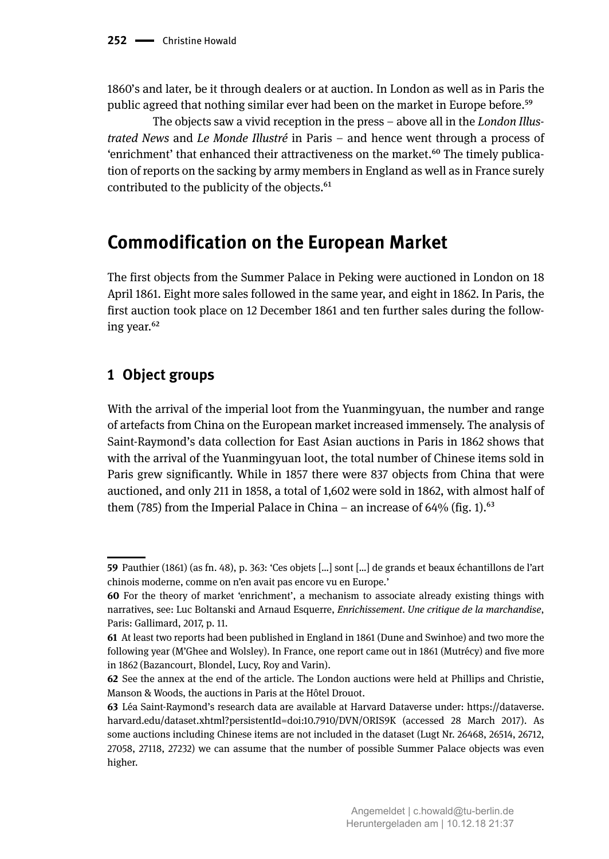1860's and later, be it through dealers or at auction. In London as well as in Paris the public agreed that nothing similar ever had been on the market in Europe before.59

 The objects saw a vivid reception in the press – above all in the *London Illustrated News* and *Le Monde Illustré* in Paris – and hence went through a process of 'enrichment' that enhanced their attractiveness on the market. $60$  The timely publication of reports on the sacking by army members in England as well as in France surely contributed to the publicity of the objects.<sup>61</sup>

## **Commodification on the European Market**

The first objects from the Summer Palace in Peking were auctioned in London on 18 April 1861. Eight more sales followed in the same year, and eight in 1862. In Paris, the first auction took place on 12 December 1861 and ten further sales during the following year.<sup>62</sup>

## **1 Object groups**

With the arrival of the imperial loot from the Yuanmingyuan, the number and range of artefacts from China on the European market increased immensely. The analysis of Saint-Raymond's data collection for East Asian auctions in Paris in 1862 shows that with the arrival of the Yuanmingyuan loot, the total number of Chinese items sold in Paris grew significantly. While in 1857 there were 837 objects from China that were auctioned, and only 211 in 1858, a total of 1,602 were sold in 1862, with almost half of them (785) from the Imperial Palace in China – an increase of 64% (fig. 1).<sup>63</sup>

**<sup>59</sup>** Pauthier (1861) (as fn. 48), p. 363: 'Ces objets […] sont […] de grands et beaux échantillons de l'art chinois moderne, comme on n'en avait pas encore vu en Europe.'

**<sup>60</sup>** For the theory of market 'enrichment', a mechanism to associate already existing things with narratives, see: Luc Boltanski and Arnaud Esquerre, *Enrichissement. Une critique de la marchandise*, Paris: Gallimard, 2017, p. 11.

**<sup>61</sup>** At least two reports had been published in England in 1861 (Dune and Swinhoe) and two more the following year (M'Ghee and Wolsley). In France, one report came out in 1861 (Mutrécy) and five more in 1862 (Bazancourt, Blondel, Lucy, Roy and Varin).

**<sup>62</sup>** See the annex at the end of the article. The London auctions were held at Phillips and Christie, Manson & Woods, the auctions in Paris at the Hôtel Drouot.

**<sup>63</sup>** Léa Saint-Raymond's research data are available at Harvard Dataverse under: https://dataverse. harvard.edu/dataset.xhtml?persistentId=doi:10.7910/DVN/ORIS9K (accessed 28 March 2017). As some auctions including Chinese items are not included in the dataset (Lugt Nr. 26468, 26514, 26712, 27058, 27118, 27232) we can assume that the number of possible Summer Palace objects was even higher.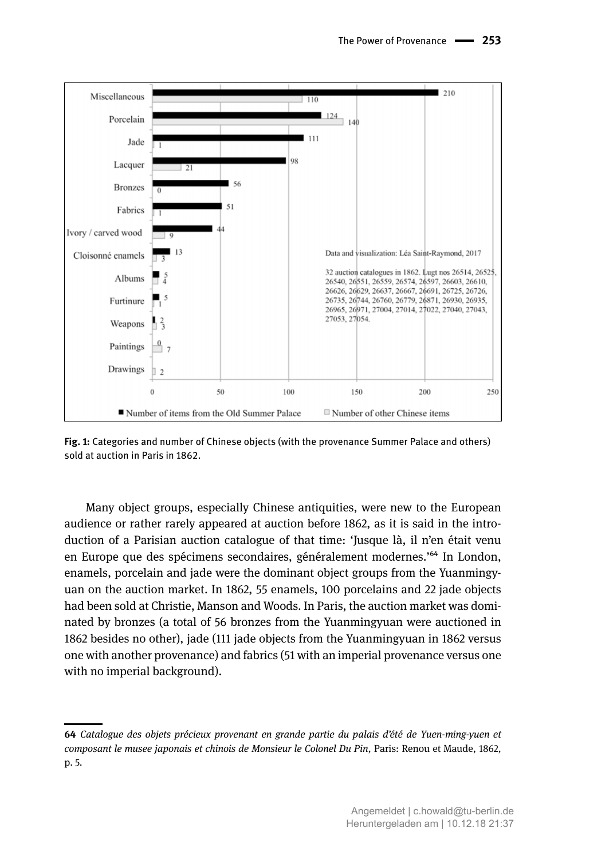

**Fig. 1:** Categories and number of Chinese objects (with the provenance Summer Palace and others) sold at auction in Paris in 1862.

Many object groups, especially Chinese antiquities, were new to the European audience or rather rarely appeared at auction before 1862, as it is said in the introduction of a Parisian auction catalogue of that time: 'Jusque là, il n'en était venu en Europe que des spécimens secondaires, généralement modernes.'64 In London, enamels, porcelain and jade were the dominant object groups from the Yuanmingyuan on the auction market. In 1862, 55 enamels, 100 porcelains and 22 jade objects had been sold at Christie, Manson and Woods. In Paris, the auction market was dominated by bronzes (a total of 56 bronzes from the Yuanmingyuan were auctioned in 1862 besides no other), jade (111 jade objects from the Yuanmingyuan in 1862 versus one with another provenance) and fabrics (51 with an imperial provenance versus one with no imperial background).

**<sup>64</sup>** *Catalogue des objets précieux provenant en grande partie du palais d'été de Yuen-ming-yuen et composant le musee japonais et chinois de Monsieur le Colonel Du Pin*, Paris: Renou et Maude, 1862, p. 5.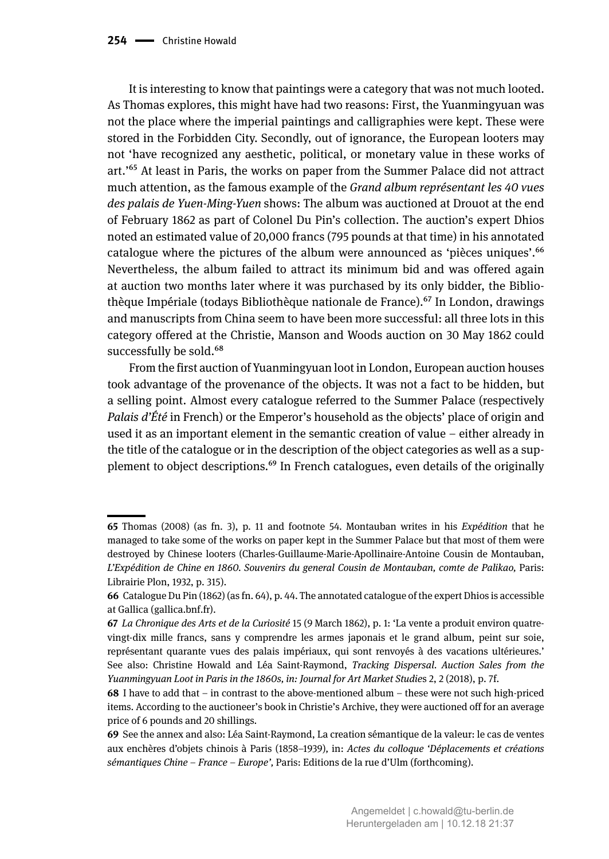It is interesting to know that paintings were a category that was not much looted. As Thomas explores, this might have had two reasons: First, the Yuanmingyuan was not the place where the imperial paintings and calligraphies were kept. These were stored in the Forbidden City. Secondly, out of ignorance, the European looters may not 'have recognized any aesthetic, political, or monetary value in these works of art.'65 At least in Paris, the works on paper from the Summer Palace did not attract much attention, as the famous example of the *Grand album représentant les 40 vues des palais de Yuen-Ming-Yuen* shows: The album was auctioned at Drouot at the end of February 1862 as part of Colonel Du Pin's collection. The auction's expert Dhios noted an estimated value of 20,000 francs (795 pounds at that time) in his annotated catalogue where the pictures of the album were announced as 'pièces uniques'.66 Nevertheless, the album failed to attract its minimum bid and was offered again at auction two months later where it was purchased by its only bidder, the Bibliothèque Impériale (todays Bibliothèque nationale de France).<sup>67</sup> In London, drawings and manuscripts from China seem to have been more successful: all three lots in this category offered at the Christie, Manson and Woods auction on 30 May 1862 could successfully be sold.<sup>68</sup>

From the first auction of Yuanmingyuan loot in London, European auction houses took advantage of the provenance of the objects. It was not a fact to be hidden, but a selling point. Almost every catalogue referred to the Summer Palace (respectively *Palais d'Été* in French) or the Emperor's household as the objects' place of origin and used it as an important element in the semantic creation of value – either already in the title of the catalogue or in the description of the object categories as well as a supplement to object descriptions.<sup>69</sup> In French catalogues, even details of the originally

**<sup>65</sup>** Thomas (2008) (as fn. 3), p. 11 and footnote 54. Montauban writes in his *Expédition* that he managed to take some of the works on paper kept in the Summer Palace but that most of them were destroyed by Chinese looters (Charles-Guillaume-Marie-Apollinaire-Antoine Cousin de Montauban, L'Expédition de Chine en 1860. Souvenirs du general Cousin de Montauban, comte de Palikao, Paris: Librairie Plon, 1932, p. 315).

**<sup>66</sup>** Catalogue Du Pin (1862) (as fn. 64), p. 44. The annotated catalogue of the expert Dhios is accessible at Gallica (gallica.bnf.fr).

**<sup>67</sup>** *La Chronique des Arts et de la Curiosité* 15 (9 March 1862), p. 1: 'La vente a produit environ quatrevingt-dix mille francs, sans y comprendre les armes japonais et le grand album, peint sur soie, représentant quarante vues des palais impériaux, qui sont renvoyés à des vacations ultérieures.' See also: Christine Howald and Léa Saint-Raymond, *Tracking Dispersal. Auction Sales from the Yuanmingyuan Loot in Paris in the 1860s, in: Journal for Art Market Studie*s 2, 2 (2018), p. 7f.

**<sup>68</sup>** I have to add that – in contrast to the above-mentioned album – these were not such high-priced items. According to the auctioneer's book in Christie's Archive, they were auctioned off for an average price of 6 pounds and 20 shillings.

**<sup>69</sup>** See the annex and also: Léa Saint-Raymond, La creation sémantique de la valeur: le cas de ventes aux enchères d'objets chinois à Paris (1858–1939)*,* in: *Actes du colloque 'Déplacements et créations sémantiques Chine – France – Europe',* Paris: Editions de la rue d'Ulm (forthcoming).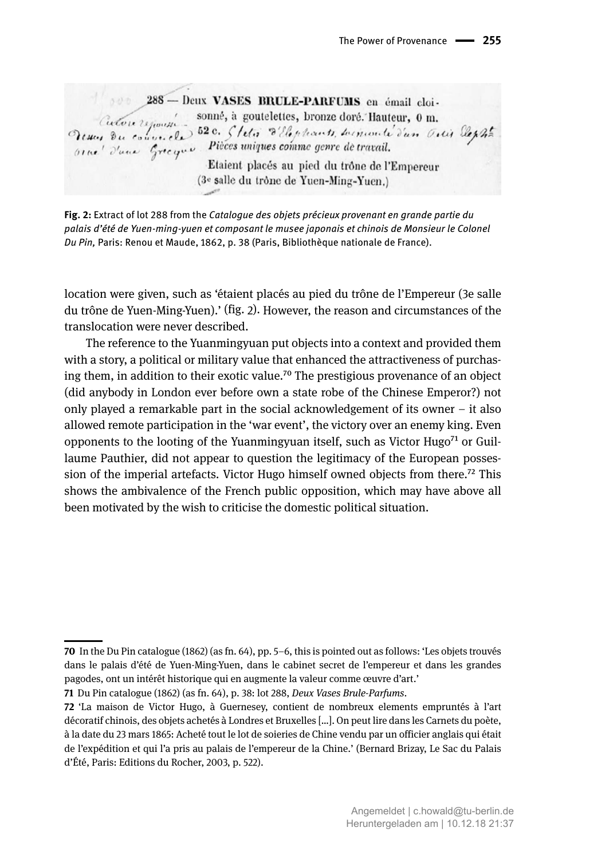288 - Deux VASES BRULE-PARFUMS en émail cloi-Cutou repose sonne, à goutelettes, bronze doré. Hauteur, 0 m. Otre du course pièces uniques comme genre de travail. Etaient placés au pied du trône de l'Empereur (3<sup>e</sup> salle du trône de Yuen-Ming-Yuen.)

**Fig. 2:** Extract of lot 288 from the *Catalogue des objets précieux provenant en grande partie du palais d'été de Yuen-ming-yuen et composant le musee japonais et chinois de Monsieur le Colonel Du Pin,* Paris: Renou et Maude, 1862, p. 38 (Paris, Bibliothèque nationale de France).

location were given, such as 'étaient placés au pied du trône de l'Empereur (3e salle du trône de Yuen-Ming-Yuen).' (fig. 2). However, the reason and circumstances of the translocation were never described.

The reference to the Yuanmingyuan put objects into a context and provided them with a story, a political or military value that enhanced the attractiveness of purchasing them, in addition to their exotic value.<sup>70</sup> The prestigious provenance of an object (did anybody in London ever before own a state robe of the Chinese Emperor?) not only played a remarkable part in the social acknowledgement of its owner  $-$  it also allowed remote participation in the 'war event', the victory over an enemy king. Even opponents to the looting of the Yuanmingyuan itself, such as Victor Hugo<sup>71</sup> or Guillaume Pauthier, did not appear to question the legitimacy of the European possession of the imperial artefacts. Victor Hugo himself owned objects from there.<sup>72</sup> This shows the ambivalence of the French public opposition, which may have above all been motivated by the wish to criticise the domestic political situation.

**<sup>70</sup>** In the Du Pin catalogue (1862) (as fn. 64), pp. 5–6, this is pointed out as follows: 'Les objets trouvés dans le palais d'été de Yuen-Ming-Yuen, dans le cabinet secret de l'empereur et dans les grandes pagodes, ont un intérêt historique qui en augmente la valeur comme œuvre d'art.'

**<sup>71</sup>** Du Pin catalogue (1862) (as fn. 64), p. 38: lot 288, *Deux Vases Brule-Parfums*.

**<sup>72</sup>** 'La maison de Victor Hugo, à Guernesey, contient de nombreux elements empruntés à l'art décoratif chinois, des objets achetés à Londres et Bruxelles […]. On peut lire dans les Carnets du poète, à la date du 23 mars 1865: Acheté tout le lot de soieries de Chine vendu par un officier anglais qui était de l'expédition et qui l'a pris au palais de l'empereur de la Chine.' (Bernard Brizay, Le Sac du Palais d'Été, Paris: Editions du Rocher, 2003, p. 522).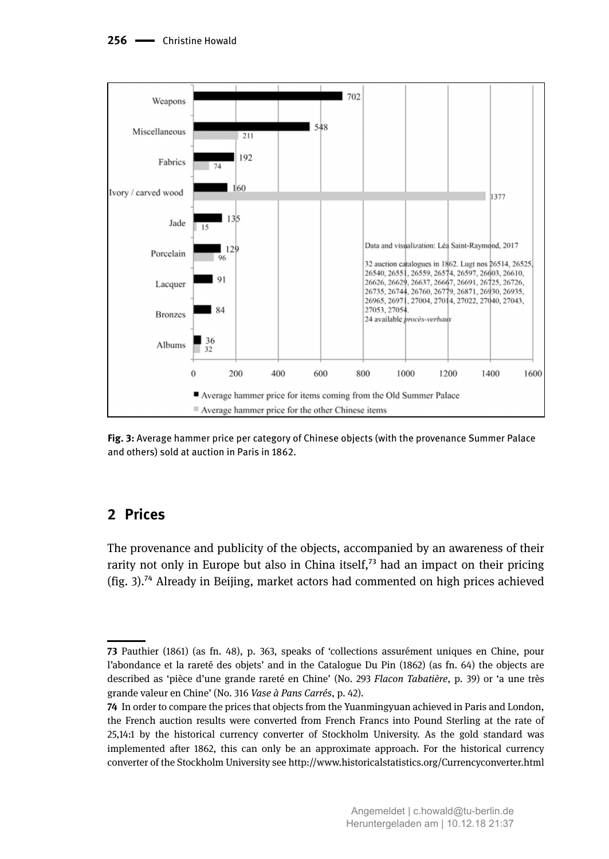

**Fig. 3:** Average hammer price per category of Chinese objects (with the provenance Summer Palace and others) sold at auction in Paris in 1862.

### **2 Prices**

The provenance and publicity of the objects, accompanied by an awareness of their rarity not only in Europe but also in China itself, $73$  had an impact on their pricing (fig. 3).74 Already in Beijing, market actors had commented on high prices achieved

**<sup>73</sup>** Pauthier (1861) (as fn. 48), p. 363, speaks of 'collections assurément uniques en Chine, pour l'abondance et la rareté des objets' and in the Catalogue Du Pin (1862) (as fn. 64) the objects are described as 'pièce d'une grande rareté en Chine' (No. 293 *Flacon Tabatière*, p. 39) or 'a une très grande valeur en Chine' (No. 316 *Vase à Pans Carrés*, p. 42).

**<sup>74</sup>** In order to compare the prices that objects from the Yuanmingyuan achieved in Paris and London, the French auction results were converted from French Francs into Pound Sterling at the rate of 25,14:1 by the historical currency converter of Stockholm University. As the gold standard was implemented after 1862, this can only be an approximate approach. For the historical currency converter of the Stockholm University see http://www.historicalstatistics.org/Currencyconverter.html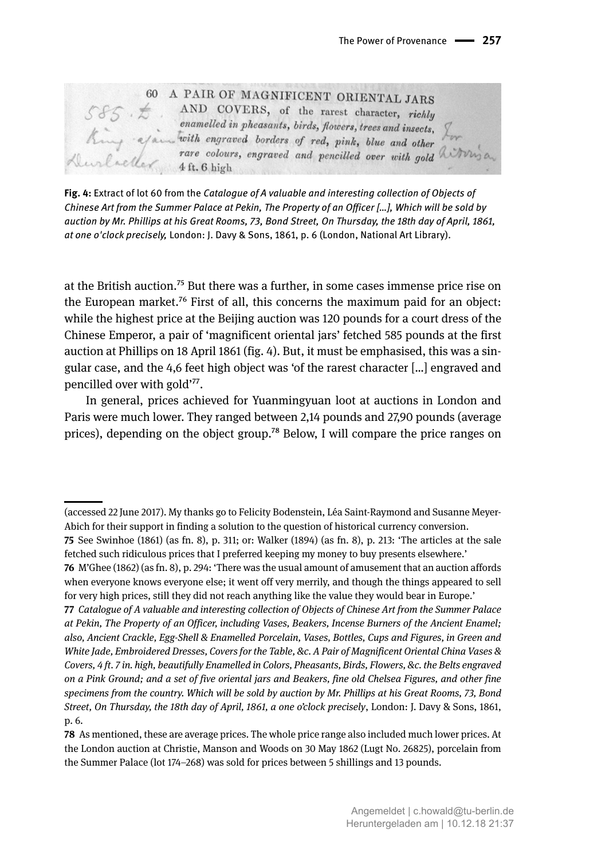

**Fig. 4:** Extract of lot 60 from the *Catalogue of A valuable and interesting collection of Objects of Chinese Art from the Summer Palace at Pekin, The Property of an Officer […], Which will be sold by auction by Mr. Phillips at his Great Rooms, 73, Bond Street, On Thursday, the 18th day of April, 1861, at one o'clock precisely,* London: J. Davy & Sons, 1861, p. 6 (London, National Art Library).

at the British auction.<sup>75</sup> But there was a further, in some cases immense price rise on the European market.<sup>76</sup> First of all, this concerns the maximum paid for an object: while the highest price at the Beijing auction was 120 pounds for a court dress of the Chinese Emperor, a pair of 'magnificent oriental jars' fetched 585 pounds at the first auction at Phillips on 18 April 1861 (fig. 4). But, it must be emphasised, this was a singular case, and the 4,6 feet high object was 'of the rarest character […] engraved and pencilled over with gold'77.

In general, prices achieved for Yuanmingyuan loot at auctions in London and Paris were much lower. They ranged between 2,14 pounds and 27,90 pounds (average prices), depending on the object group.78 Below, I will compare the price ranges on

<sup>(</sup>accessed 22 June 2017). My thanks go to Felicity Bodenstein, Léa Saint-Raymond and Susanne Meyer-Abich for their support in finding a solution to the question of historical currency conversion.

**<sup>75</sup>** See Swinhoe (1861) (as fn. 8), p. 311; or: Walker (1894) (as fn. 8), p. 213: 'The articles at the sale fetched such ridiculous prices that I preferred keeping my money to buy presents elsewhere.'

**<sup>76</sup>** M'Ghee (1862) (as fn. 8), p. 294: 'There was the usual amount of amusement that an auction affords when everyone knows everyone else; it went off very merrily, and though the things appeared to sell for very high prices, still they did not reach anything like the value they would bear in Europe.'

**<sup>77</sup>** *Catalogue of A valuable and interesting collection of Objects of Chinese Art from the Summer Palace at Pekin, The Property of an Officer, including Vases, Beakers, Incense Burners of the Ancient Enamel; also, Ancient Crackle, Egg-Shell & Enamelled Porcelain, Vases, Bottles, Cups and Figures, in Green and White Jade, Embroidered Dresses, Covers for the Table, &c. A Pair of Magnificent Oriental China Vases & Covers, 4 ft. 7 in. high, beautifully Enamelled in Colors, Pheasants, Birds, Flowers, &c. the Belts engraved on a Pink Ground; and a set of five oriental jars and Beakers, fine old Chelsea Figures, and other fine specimens from the country. Which will be sold by auction by Mr. Phillips at his Great Rooms, 73, Bond Street, On Thursday, the 18th day of April, 1861, a one o'clock precisely*, London: J. Davy & Sons, 1861, p. 6.

**<sup>78</sup>** As mentioned, these are average prices. The whole price range also included much lower prices. At the London auction at Christie, Manson and Woods on 30 May 1862 (Lugt No. 26825), porcelain from the Summer Palace (lot 174–268) was sold for prices between 5 shillings and 13 pounds.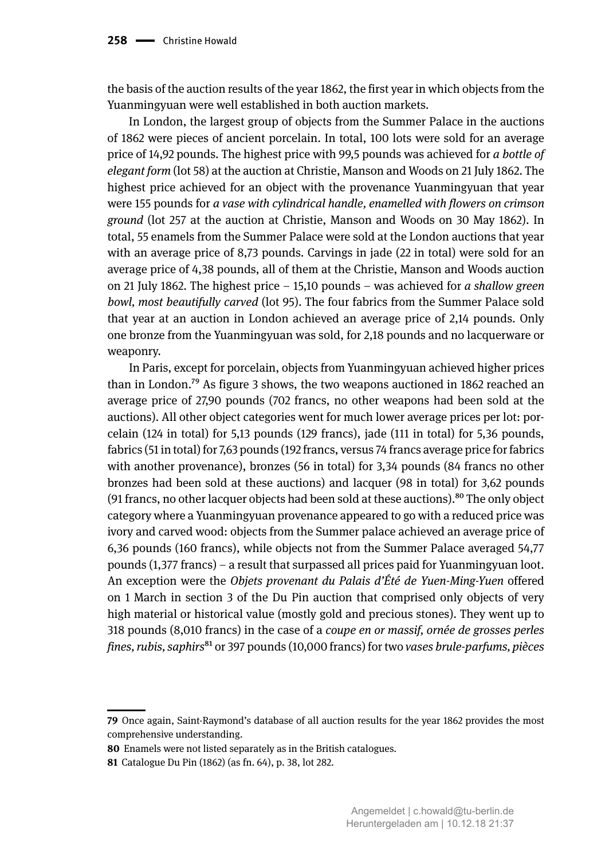the basis of the auction results of the year 1862, the first year in which objects from the Yuanmingyuan were well established in both auction markets.

In London, the largest group of objects from the Summer Palace in the auctions of 1862 were pieces of ancient porcelain. In total, 100 lots were sold for an average price of 14,92 pounds. The highest price with 99,5 pounds was achieved for *a bottle of elegant form* (lot 58) at the auction at Christie, Manson and Woods on 21 July 1862. The highest price achieved for an object with the provenance Yuanmingyuan that year were 155 pounds for *a vase with cylindrical handle, enamelled with flowers on crimson ground* (lot 257 at the auction at Christie, Manson and Woods on 30 May 1862). In total, 55 enamels from the Summer Palace were sold at the London auctions that year with an average price of 8,73 pounds. Carvings in jade (22 in total) were sold for an average price of 4,38 pounds, all of them at the Christie, Manson and Woods auction on 21 July 1862. The highest price – 15,10 pounds – was achieved for *a shallow green bowl, most beautifully carved* (lot 95). The four fabrics from the Summer Palace sold that year at an auction in London achieved an average price of 2,14 pounds. Only one bronze from the Yuanmingyuan was sold, for 2,18 pounds and no lacquerware or weaponry.

In Paris, except for porcelain, objects from Yuanmingyuan achieved higher prices than in London.79 As figure 3 shows, the two weapons auctioned in 1862 reached an average price of 27,90 pounds (702 francs, no other weapons had been sold at the auctions). All other object categories went for much lower average prices per lot: porcelain (124 in total) for 5,13 pounds (129 francs), jade (111 in total) for 5,36 pounds, fabrics (51 in total) for 7,63 pounds (192 francs, versus 74 francs average price for fabrics with another provenance), bronzes (56 in total) for 3,34 pounds (84 francs no other bronzes had been sold at these auctions) and lacquer (98 in total) for 3,62 pounds (91 francs, no other lacquer objects had been sold at these auctions).<sup>80</sup> The only object category where a Yuanmingyuan provenance appeared to go with a reduced price was ivory and carved wood: objects from the Summer palace achieved an average price of 6,36 pounds (160 francs), while objects not from the Summer Palace averaged 54,77 pounds (1,377 francs) – a result that surpassed all prices paid for Yuanmingyuan loot. An exception were the *Objets provenant du Palais d'Été de Yuen-Ming-Yuen* offered on 1 March in section 3 of the Du Pin auction that comprised only objects of very high material or historical value (mostly gold and precious stones). They went up to 318 pounds (8,010 francs) in the case of a *coupe en or massif, ornée de grosses perles fines, rubis, saphirs*81 or 397 pounds (10,000 francs) for two *vases brule-parfums, pièces* 

**<sup>79</sup>** Once again, Saint-Raymond's database of all auction results for the year 1862 provides the most comprehensive understanding.

**<sup>80</sup>** Enamels were not listed separately as in the British catalogues.

**<sup>81</sup>** Catalogue Du Pin (1862) (as fn. 64), p. 38, lot 282.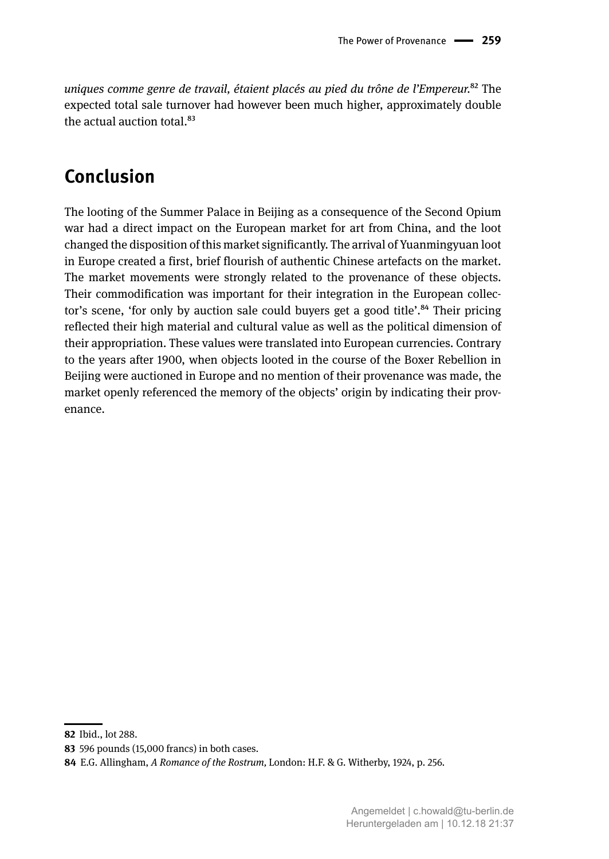*uniques comme genre de travail, étaient placés au pied du trône de l'Empereur.*82 The expected total sale turnover had however been much higher, approximately double the actual auction total.<sup>83</sup>

# **Conclusion**

The looting of the Summer Palace in Beijing as a consequence of the Second Opium war had a direct impact on the European market for art from China, and the loot changed the disposition of this market significantly. The arrival of Yuanmingyuan loot in Europe created a first, brief flourish of authentic Chinese artefacts on the market. The market movements were strongly related to the provenance of these objects. Their commodification was important for their integration in the European collector's scene, 'for only by auction sale could buyers get a good title'. $84$  Their pricing reflected their high material and cultural value as well as the political dimension of their appropriation. These values were translated into European currencies. Contrary to the years after 1900, when objects looted in the course of the Boxer Rebellion in Beijing were auctioned in Europe and no mention of their provenance was made, the market openly referenced the memory of the objects' origin by indicating their provenance.

**<sup>82</sup>** Ibid., lot 288.

**<sup>83</sup>** 596 pounds (15,000 francs) in both cases.

**<sup>84</sup>** E.G. Allingham, *A Romance of the Rostrum,* London: H.F. & G. Witherby, 1924, p. 256.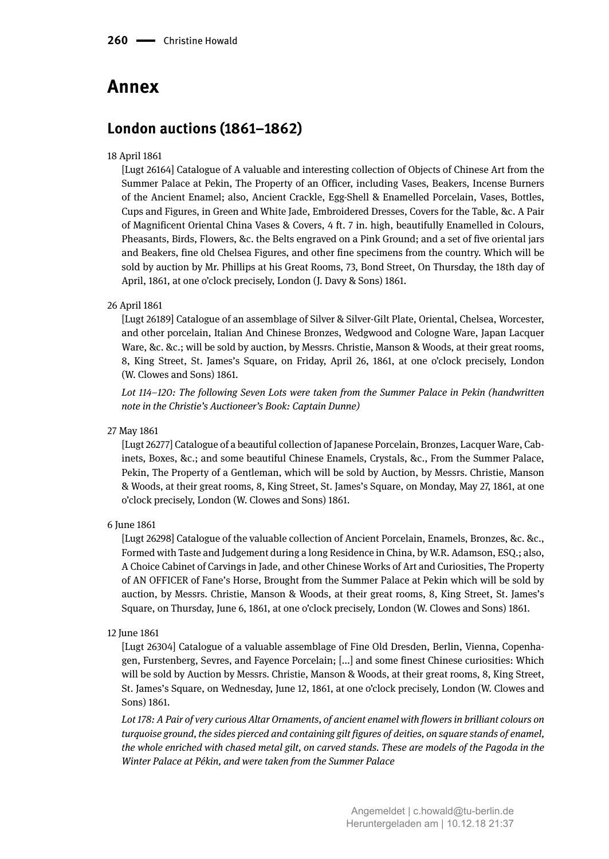## **Annex**

### **London auctions (1861–1862)**

#### 18 April 1861

[Lugt 26164] Catalogue of A valuable and interesting collection of Objects of Chinese Art from the Summer Palace at Pekin, The Property of an Officer, including Vases, Beakers, Incense Burners of the Ancient Enamel; also, Ancient Crackle, Egg-Shell & Enamelled Porcelain, Vases, Bottles, Cups and Figures, in Green and White Jade, Embroidered Dresses, Covers for the Table, &c. A Pair of Magnificent Oriental China Vases & Covers, 4 ft. 7 in. high, beautifully Enamelled in Colours, Pheasants, Birds, Flowers, &c. the Belts engraved on a Pink Ground; and a set of five oriental jars and Beakers, fine old Chelsea Figures, and other fine specimens from the country. Which will be sold by auction by Mr. Phillips at his Great Rooms, 73, Bond Street, On Thursday, the 18th day of April, 1861, at one o'clock precisely, London (J. Davy & Sons) 1861.

#### 26 April 1861

[Lugt 26189] Catalogue of an assemblage of Silver & Silver-Gilt Plate, Oriental, Chelsea, Worcester, and other porcelain, Italian And Chinese Bronzes, Wedgwood and Cologne Ware, Japan Lacquer Ware, &c. &c.; will be sold by auction, by Messrs. Christie, Manson & Woods, at their great rooms, 8, King Street, St. James's Square, on Friday, April 26, 1861, at one o'clock precisely, London (W. Clowes and Sons) 1861.

*Lot 114–120: The following Seven Lots were taken from the Summer Palace in Pekin (handwritten note in the Christie's Auctioneer's Book: Captain Dunne)*

27 May 1861

[Lugt 26277] Catalogue of a beautiful collection of Japanese Porcelain, Bronzes, Lacquer Ware, Cabinets, Boxes, &c.; and some beautiful Chinese Enamels, Crystals, &c., From the Summer Palace, Pekin, The Property of a Gentleman, which will be sold by Auction, by Messrs. Christie, Manson & Woods, at their great rooms, 8, King Street, St. James's Square, on Monday, May 27, 1861, at one o'clock precisely, London (W. Clowes and Sons) 1861.

6 June 1861

[Lugt 26298] Catalogue of the valuable collection of Ancient Porcelain, Enamels, Bronzes, &c. &c., Formed with Taste and Judgement during a long Residence in China, by W.R. Adamson, ESQ.; also, A Choice Cabinet of Carvings in Jade, and other Chinese Works of Art and Curiosities, The Property of AN OFFICER of Fane's Horse, Brought from the Summer Palace at Pekin which will be sold by auction, by Messrs. Christie, Manson & Woods, at their great rooms, 8, King Street, St. James's Square, on Thursday, June 6, 1861, at one o'clock precisely, London (W. Clowes and Sons) 1861.

#### 12 June 1861

[Lugt 26304] Catalogue of a valuable assemblage of Fine Old Dresden, Berlin, Vienna, Copenhagen, Furstenberg, Sevres, and Fayence Porcelain; [...] and some finest Chinese curiosities: Which will be sold by Auction by Messrs. Christie, Manson & Woods, at their great rooms, 8, King Street, St. James's Square, on Wednesday, June 12, 1861, at one o'clock precisely, London (W. Clowes and Sons) 1861.

*Lot 178: A Pair of very curious Altar Ornaments, of ancient enamel with flowers in brilliant colours on turquoise ground, the sides pierced and containing gilt figures of deities, on square stands of enamel, the whole enriched with chased metal gilt, on carved stands. These are models of the Pagoda in the Winter Palace at Pékin, and were taken from the Summer Palace*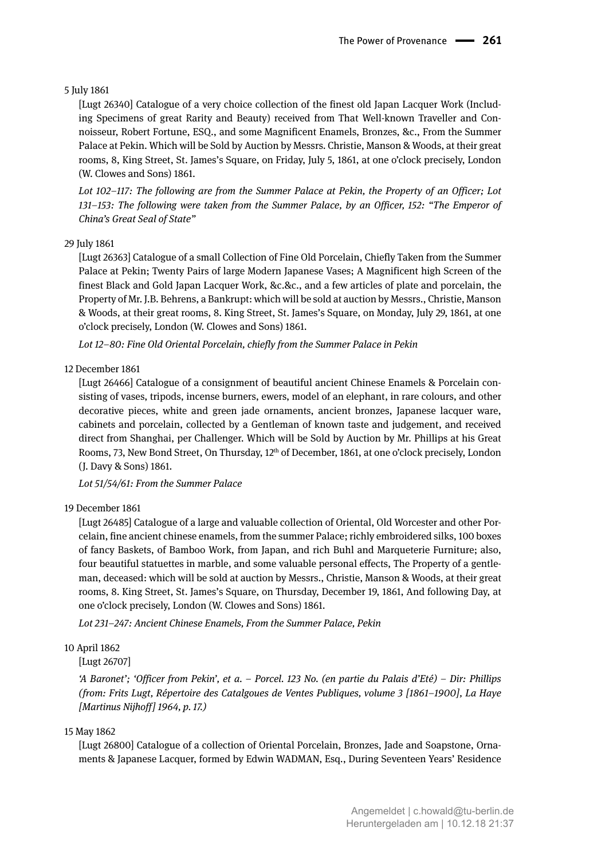#### 5 July 1861

[Lugt 26340] Catalogue of a very choice collection of the finest old Japan Lacquer Work (Including Specimens of great Rarity and Beauty) received from That Well-known Traveller and Connoisseur, Robert Fortune, ESQ., and some Magnificent Enamels, Bronzes, &c., From the Summer Palace at Pekin. Which will be Sold by Auction by Messrs. Christie, Manson & Woods, at their great rooms, 8, King Street, St. James's Square, on Friday, July 5, 1861, at one o'clock precisely, London (W. Clowes and Sons) 1861.

*Lot 102–117: The following are from the Summer Palace at Pekin, the Property of an Officer; Lot 131–153: The following were taken from the Summer Palace, by an Officer, 152: "The Emperor of China's Great Seal of State"*

#### 29 July 1861

[Lugt 26363] Catalogue of a small Collection of Fine Old Porcelain, Chiefly Taken from the Summer Palace at Pekin; Twenty Pairs of large Modern Japanese Vases; A Magnificent high Screen of the finest Black and Gold Japan Lacquer Work, &c.&c., and a few articles of plate and porcelain, the Property of Mr. J.B. Behrens, a Bankrupt: which will be sold at auction by Messrs., Christie, Manson & Woods, at their great rooms, 8. King Street, St. James's Square, on Monday, July 29, 1861, at one o'clock precisely, London (W. Clowes and Sons) 1861.

*Lot 12–80: Fine Old Oriental Porcelain, chiefly from the Summer Palace in Pekin*

#### 12 December 1861

[Lugt 26466] Catalogue of a consignment of beautiful ancient Chinese Enamels & Porcelain consisting of vases, tripods, incense burners, ewers, model of an elephant, in rare colours, and other decorative pieces, white and green jade ornaments, ancient bronzes, Japanese lacquer ware, cabinets and porcelain, collected by a Gentleman of known taste and judgement, and received direct from Shanghai, per Challenger. Which will be Sold by Auction by Mr. Phillips at his Great Rooms, 73, New Bond Street, On Thursday, 12th of December, 1861, at one o'clock precisely, London (J. Davy & Sons) 1861.

*Lot 51/54/61: From the Summer Palace* 

#### 19 December 1861

[Lugt 26485] Catalogue of a large and valuable collection of Oriental, Old Worcester and other Porcelain, fine ancient chinese enamels, from the summer Palace; richly embroidered silks, 100 boxes of fancy Baskets, of Bamboo Work, from Japan, and rich Buhl and Marqueterie Furniture; also, four beautiful statuettes in marble, and some valuable personal effects, The Property of a gentleman, deceased: which will be sold at auction by Messrs., Christie, Manson & Woods, at their great rooms, 8. King Street, St. James's Square, on Thursday, December 19, 1861, And following Day, at one o'clock precisely, London (W. Clowes and Sons) 1861.

*Lot 231–247: Ancient Chinese Enamels, From the Summer Palace, Pekin*

#### 10 April 1862

[Lugt 26707]

*'A Baronet'; 'Officer from Pekin', et a. – Porcel. 123 No. (en partie du Palais d'Eté) – Dir: Phillips (from: Frits Lugt, Répertoire des Catalgoues de Ventes Publiques, volume 3 [1861–1900], La Haye [Martinus Nijhoff] 1964, p. 17.)*

#### 15 May 1862

[Lugt 26800] Catalogue of a collection of Oriental Porcelain, Bronzes, Jade and Soapstone, Ornaments & Japanese Lacquer, formed by Edwin WADMAN, Esq., During Seventeen Years' Residence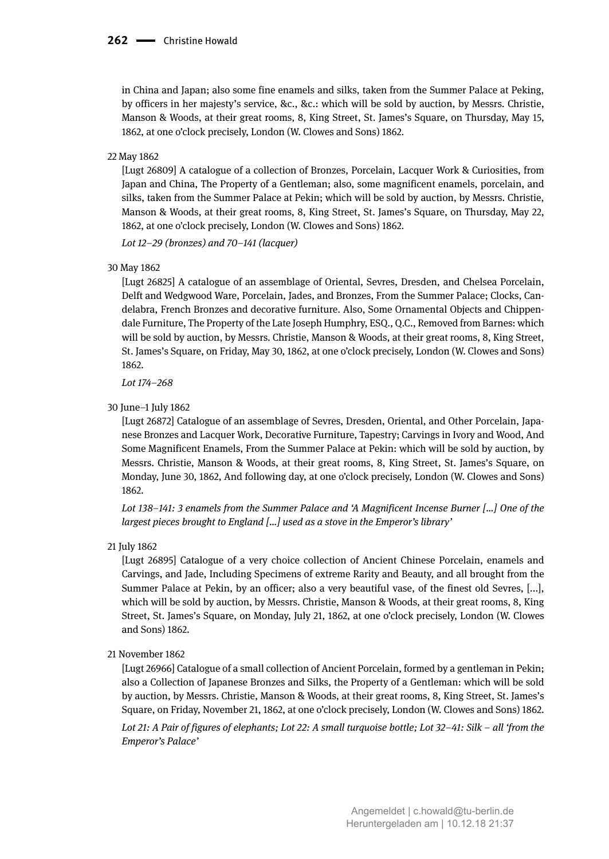in China and Japan; also some fine enamels and silks, taken from the Summer Palace at Peking, by officers in her majesty's service, &c., &c.: which will be sold by auction, by Messrs. Christie, Manson & Woods, at their great rooms, 8, King Street, St. James's Square, on Thursday, May 15, 1862, at one o'clock precisely, London (W. Clowes and Sons) 1862.

#### 22 May 1862

[Lugt 26809] A catalogue of a collection of Bronzes, Porcelain, Lacquer Work & Curiosities, from Japan and China, The Property of a Gentleman; also, some magnificent enamels, porcelain, and silks, taken from the Summer Palace at Pekin; which will be sold by auction, by Messrs. Christie, Manson & Woods, at their great rooms, 8, King Street, St. James's Square, on Thursday, May 22, 1862, at one o'clock precisely, London (W. Clowes and Sons) 1862.

*Lot 12–29 (bronzes) and 70–141 (lacquer)* 

30 May 1862

[Lugt 26825] A catalogue of an assemblage of Oriental, Sevres, Dresden, and Chelsea Porcelain, Delft and Wedgwood Ware, Porcelain, Jades, and Bronzes, From the Summer Palace; Clocks, Candelabra, French Bronzes and decorative furniture. Also, Some Ornamental Objects and Chippendale Furniture, The Property of the Late Joseph Humphry, ESQ., Q.C., Removed from Barnes: which will be sold by auction, by Messrs. Christie, Manson & Woods, at their great rooms, 8, King Street, St. James's Square, on Friday, May 30, 1862, at one o'clock precisely, London (W. Clowes and Sons) 1862.

*Lot 174–268* 

30 June–1 July 1862

[Lugt 26872] Catalogue of an assemblage of Sevres, Dresden, Oriental, and Other Porcelain, Japanese Bronzes and Lacquer Work, Decorative Furniture, Tapestry; Carvings in Ivory and Wood, And Some Magnificent Enamels, From the Summer Palace at Pekin: which will be sold by auction, by Messrs. Christie, Manson & Woods, at their great rooms, 8, King Street, St. James's Square, on Monday, June 30, 1862, And following day, at one o'clock precisely, London (W. Clowes and Sons) 1862.

*Lot 138–141: 3 enamels from the Summer Palace and 'A Magnificent Incense Burner […] One of the largest pieces brought to England […] used as a stove in the Emperor's library'*

21 July 1862

[Lugt 26895] Catalogue of a very choice collection of Ancient Chinese Porcelain, enamels and Carvings, and Jade, Including Specimens of extreme Rarity and Beauty, and all brought from the Summer Palace at Pekin, by an officer; also a very beautiful vase, of the finest old Sevres, [...], which will be sold by auction, by Messrs. Christie, Manson & Woods, at their great rooms, 8, King Street, St. James's Square, on Monday, July 21, 1862, at one o'clock precisely, London (W. Clowes and Sons) 1862.

21 November 1862

[Lugt 26966] Catalogue of a small collection of Ancient Porcelain, formed by a gentleman in Pekin; also a Collection of Japanese Bronzes and Silks, the Property of a Gentleman: which will be sold by auction, by Messrs. Christie, Manson & Woods, at their great rooms, 8, King Street, St. James's Square, on Friday, November 21, 1862, at one o'clock precisely, London (W. Clowes and Sons) 1862.

*Lot 21: A Pair of figures of elephants; Lot 22: A small turquoise bottle; Lot 32–41: Silk – all 'from the Emperor's Palace'*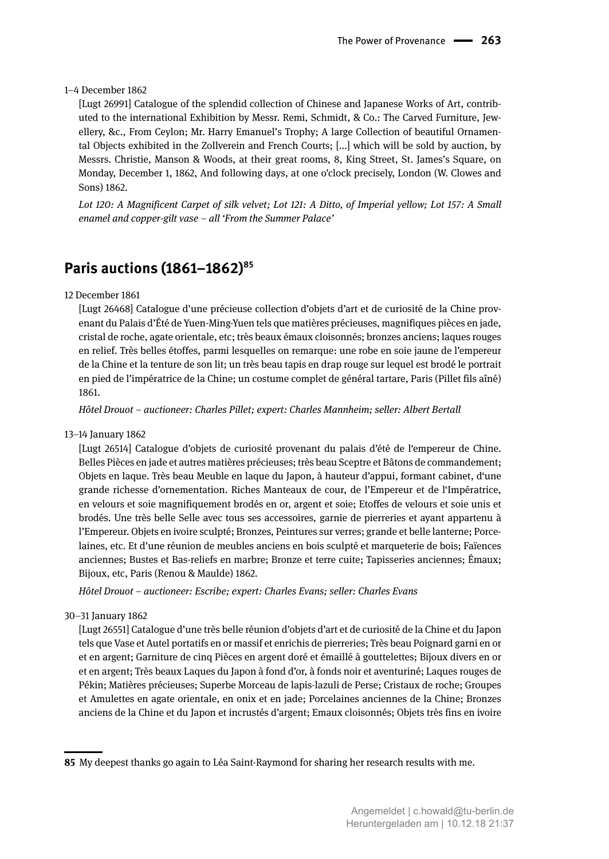#### 1–4 December 1862

[Lugt 26991] Catalogue of the splendid collection of Chinese and Japanese Works of Art, contributed to the international Exhibition by Messr. Remi, Schmidt, & Co.: The Carved Furniture, Jewellery, &c., From Ceylon; Mr. Harry Emanuel's Trophy; A large Collection of beautiful Ornamental Objects exhibited in the Zollverein and French Courts; [...] which will be sold by auction, by Messrs. Christie, Manson & Woods, at their great rooms, 8, King Street, St. James's Square, on Monday, December 1, 1862, And following days, at one o'clock precisely, London (W. Clowes and Sons) 1862.

*Lot 120: A Magnificent Carpet of silk velvet; Lot 121: A Ditto, of Imperial yellow; Lot 157: A Small enamel and copper-gilt vase – all 'From the Summer Palace'*

## **Paris auctions (1861–1862)**85

12 December 1861

[Lugt 26468] Catalogue d'une précieuse collection d'objets d'art et de curiosité de la Chine provenant du Palais d'Été de Yuen-Ming-Yuen tels que matières précieuses, magnifiques pièces en jade, cristal de roche, agate orientale, etc; très beaux émaux cloisonnés; bronzes anciens; laques rouges en relief. Très belles étoffes, parmi lesquelles on remarque: une robe en soie jaune de l'empereur de la Chine et la tenture de son lit; un très beau tapis en drap rouge sur lequel est brodé le portrait en pied de l'impératrice de la Chine; un costume complet de général tartare, Paris (Pillet fils aîné) 1861.

*Hôtel Drouot – auctioneer: Charles Pillet; expert: Charles Mannheim; seller: Albert Bertall*

13–14 January 1862

[Lugt 26514] Catalogue d'objets de curiosité provenant du palais d'été de l'empereur de Chine. Belles Pièces en jade et autres matières précieuses; très beau Sceptre et Bâtons de commandement; Objets en laque. Très beau Meuble en laque du Japon, à hauteur d'appui, formant cabinet, d'une grande richesse d'ornementation. Riches Manteaux de cour, de l'Empereur et de l'Impératrice, en velours et soie magnifiquement brodés en or, argent et soie; Etoffes de velours et soie unis et brodés. Une très belle Selle avec tous ses accessoires, garnie de pierreries et ayant appartenu à l'Empereur. Objets en ivoire sculpté; Bronzes, Peintures sur verres; grande et belle lanterne; Porcelaines, etc. Et d'une réunion de meubles anciens en bois sculpté et marqueterie de bois; Faïences anciennes; Bustes et Bas-reliefs en marbre; Bronze et terre cuite; Tapisseries anciennes; Émaux; Bijoux, etc, Paris (Renou & Maulde) 1862.

*Hôtel Drouot – auctioneer: Escribe; expert: Charles Evans; seller: Charles Evans*

#### 30–31 January 1862

[Lugt 26551] Catalogue d'une très belle réunion d'objets d'art et de curiosité de la Chine et du Japon tels que Vase et Autel portatifs en or massif et enrichis de pierreries; Très beau Poignard garni en or et en argent; Garniture de cinq Pièces en argent doré et émaillé à gouttelettes; Bijoux divers en or et en argent; Très beaux Laques du Japon à fond d'or, à fonds noir et aventuriné; Laques rouges de Pékin; Matières précieuses; Superbe Morceau de lapis-lazuli de Perse; Cristaux de roche; Groupes et Amulettes en agate orientale, en onix et en jade; Porcelaines anciennes de la Chine; Bronzes anciens de la Chine et du Japon et incrustés d'argent; Emaux cloisonnés; Objets très fins en ivoire

**<sup>85</sup>** My deepest thanks go again to Léa Saint-Raymond for sharing her research results with me.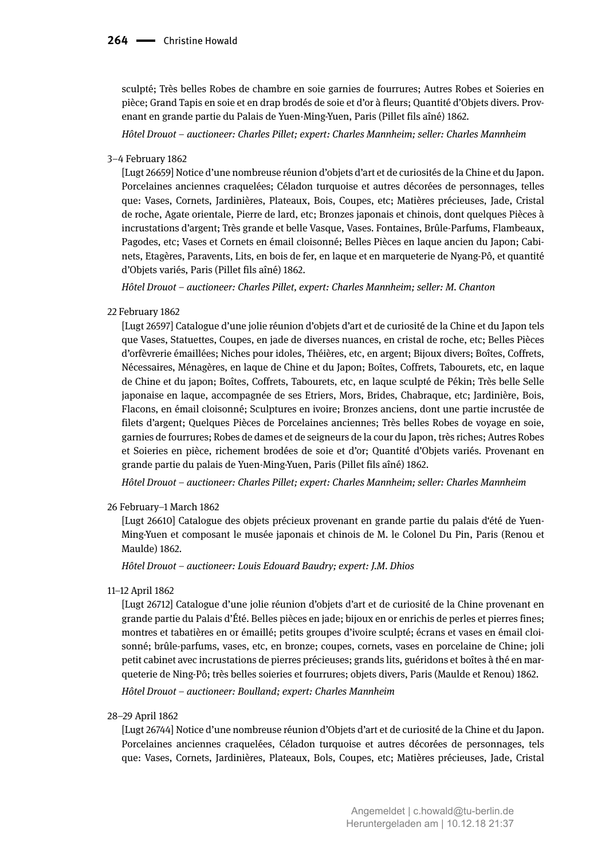#### **264** Christine Howald

sculpté; Très belles Robes de chambre en soie garnies de fourrures; Autres Robes et Soieries en pièce; Grand Tapis en soie et en drap brodés de soie et d'or à fleurs; Quantité d'Objets divers. Provenant en grande partie du Palais de Yuen-Ming-Yuen, Paris (Pillet fils aîné) 1862.

*Hôtel Drouot – auctioneer: Charles Pillet; expert: Charles Mannheim; seller: Charles Mannheim*

#### 3–4 February 1862

[Lugt 26659] Notice d'une nombreuse réunion d'objets d'art et de curiosités de la Chine et du Japon. Porcelaines anciennes craquelées; Céladon turquoise et autres décorées de personnages, telles que: Vases, Cornets, Jardinières, Plateaux, Bois, Coupes, etc; Matières précieuses, Jade, Cristal de roche, Agate orientale, Pierre de lard, etc; Bronzes japonais et chinois, dont quelques Pièces à incrustations d'argent; Très grande et belle Vasque, Vases. Fontaines, Brûle-Parfums, Flambeaux, Pagodes, etc; Vases et Cornets en émail cloisonné; Belles Pièces en laque ancien du Japon; Cabinets, Etagères, Paravents, Lits, en bois de fer, en laque et en marqueterie de Nyang-Pô, et quantité d'Objets variés, Paris (Pillet fils aîné) 1862.

*Hôtel Drouot – auctioneer: Charles Pillet, expert: Charles Mannheim; seller: M. Chanton*

#### 22 February 1862

[Lugt 26597] Catalogue d'une jolie réunion d'objets d'art et de curiosité de la Chine et du Japon tels que Vases, Statuettes, Coupes, en jade de diverses nuances, en cristal de roche, etc; Belles Pièces d'orfèvrerie émaillées; Niches pour idoles, Théières, etc, en argent; Bijoux divers; Boîtes, Coffrets, Nécessaires, Ménagères, en laque de Chine et du Japon; Boîtes, Coffrets, Tabourets, etc, en laque de Chine et du japon; Boîtes, Coffrets, Tabourets, etc, en laque sculpté de Pékin; Très belle Selle japonaise en laque, accompagnée de ses Etriers, Mors, Brides, Chabraque, etc; Jardinière, Bois, Flacons, en émail cloisonné; Sculptures en ivoire; Bronzes anciens, dont une partie incrustée de filets d'argent; Quelques Pièces de Porcelaines anciennes; Très belles Robes de voyage en soie, garnies de fourrures; Robes de dames et de seigneurs de la cour du Japon, très riches; Autres Robes et Soieries en pièce, richement brodées de soie et d'or; Quantité d'Objets variés. Provenant en grande partie du palais de Yuen-Ming-Yuen, Paris (Pillet fils aîné) 1862.

*Hôtel Drouot – auctioneer: Charles Pillet; expert: Charles Mannheim; seller: Charles Mannheim*

#### 26 February–1 March 1862

[Lugt 26610] Catalogue des objets précieux provenant en grande partie du palais d'été de Yuen-Ming-Yuen et composant le musée japonais et chinois de M. le Colonel Du Pin, Paris (Renou et Maulde) 1862.

*Hôtel Drouot – auctioneer: Louis Edouard Baudry; expert: J.M. Dhios*

11–12 April 1862

[Lugt 26712] Catalogue d'une jolie réunion d'objets d'art et de curiosité de la Chine provenant en grande partie du Palais d'Été. Belles pièces en jade; bijoux en or enrichis de perles et pierres fines; montres et tabatières en or émaillé; petits groupes d'ivoire sculpté; écrans et vases en émail cloisonné; brûle-parfums, vases, etc, en bronze; coupes, cornets, vases en porcelaine de Chine; joli petit cabinet avec incrustations de pierres précieuses; grands lits, guéridons et boîtes à thé en marqueterie de Ning-Pô; très belles soieries et fourrures; objets divers, Paris (Maulde et Renou) 1862.

*Hôtel Drouot – auctioneer: Boulland; expert: Charles Mannheim*

#### 28–29 April 1862

[Lugt 26744] Notice d'une nombreuse réunion d'Objets d'art et de curiosité de la Chine et du Japon. Porcelaines anciennes craquelées, Céladon turquoise et autres décorées de personnages, tels que: Vases, Cornets, Jardinières, Plateaux, Bols, Coupes, etc; Matières précieuses, Jade, Cristal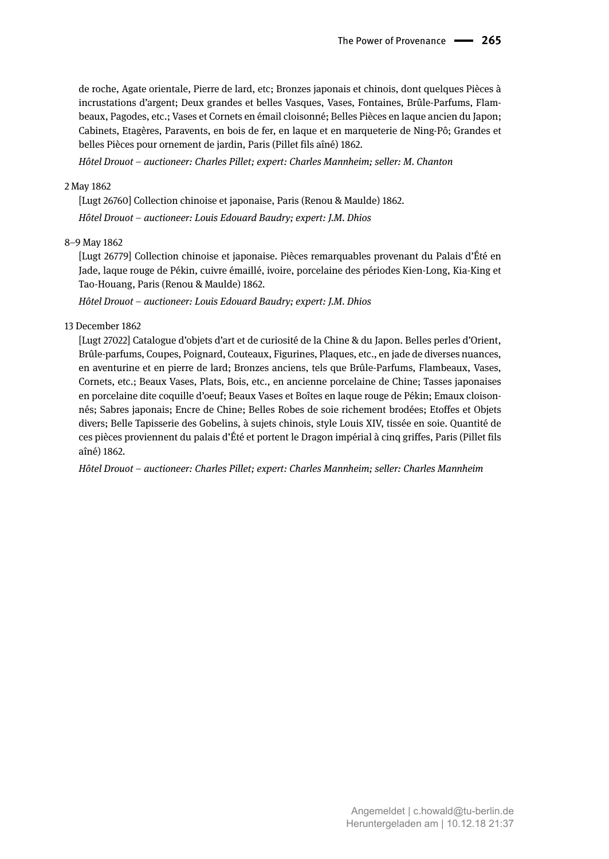de roche, Agate orientale, Pierre de lard, etc; Bronzes japonais et chinois, dont quelques Pièces à incrustations d'argent; Deux grandes et belles Vasques, Vases, Fontaines, Brûle-Parfums, Flambeaux, Pagodes, etc.; Vases et Cornets en émail cloisonné; Belles Pièces en laque ancien du Japon; Cabinets, Etagères, Paravents, en bois de fer, en laque et en marqueterie de Ning-Pô; Grandes et belles Pièces pour ornement de jardin, Paris (Pillet fils aîné) 1862.

*Hôtel Drouot – auctioneer: Charles Pillet; expert: Charles Mannheim; seller: M. Chanton*

#### 2 May 1862

[Lugt 26760] Collection chinoise et japonaise, Paris (Renou & Maulde) 1862. *Hôtel Drouot – auctioneer: Louis Edouard Baudry; expert: J.M. Dhios*

8–9 May 1862

[Lugt 26779] Collection chinoise et japonaise. Pièces remarquables provenant du Palais d'Été en Jade, laque rouge de Pékin, cuivre émaillé, ivoire, porcelaine des périodes Kien-Long, Kia-King et Tao-Houang, Paris (Renou & Maulde) 1862.

*Hôtel Drouot – auctioneer: Louis Edouard Baudry; expert: J.M. Dhios*

#### 13 December 1862

[Lugt 27022] Catalogue d'objets d'art et de curiosité de la Chine & du Japon. Belles perles d'Orient, Brûle-parfums, Coupes, Poignard, Couteaux, Figurines, Plaques, etc., en jade de diverses nuances, en aventurine et en pierre de lard; Bronzes anciens, tels que Brûle-Parfums, Flambeaux, Vases, Cornets, etc.; Beaux Vases, Plats, Bois, etc., en ancienne porcelaine de Chine; Tasses japonaises en porcelaine dite coquille d'oeuf; Beaux Vases et Boîtes en laque rouge de Pékin; Emaux cloisonnés; Sabres japonais; Encre de Chine; Belles Robes de soie richement brodées; Etoffes et Objets divers; Belle Tapisserie des Gobelins, à sujets chinois, style Louis XIV, tissée en soie. Quantité de ces pièces proviennent du palais d'Été et portent le Dragon impérial à cinq griffes, Paris (Pillet fils aîné) 1862.

*Hôtel Drouot – auctioneer: Charles Pillet; expert: Charles Mannheim; seller: Charles Mannheim*